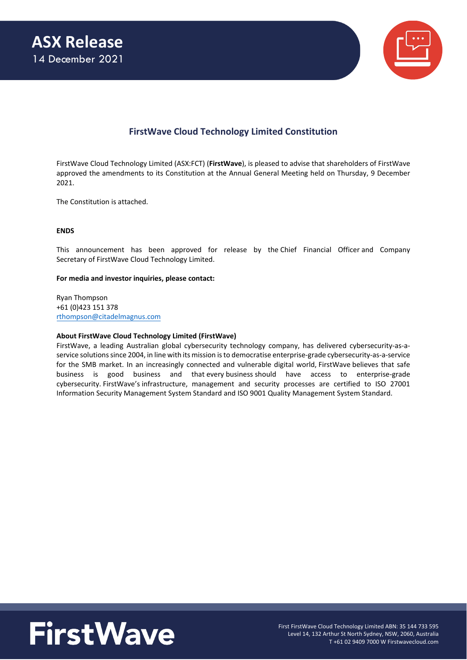

# **FirstWave Cloud Technology Limited Constitution**

FirstWave Cloud Technology Limited (ASX:FCT) (**FirstWave**), is pleased to advise that shareholders of FirstWave approved the amendments to its Constitution at the Annual General Meeting held on Thursday, 9 December 2021.

The Constitution is attached.

#### **ENDS**

This announcement has been approved for release by the Chief Financial Officer and Company Secretary of FirstWave Cloud Technology Limited.

#### **For media and investor inquiries, please contact:**

Ryan Thompson +61 (0)423 151 378 [rthompson@citadelmagnus.com](mailto:rthompson@citadelmagnus.com)

#### **About FirstWave Cloud Technology Limited (FirstWave)**

FirstWave, a leading Australian global cybersecurity technology company, has delivered cybersecurity-as-aservice solutions since 2004, in line with its mission is to democratise enterprise-grade cybersecurity-as-a-service for the SMB market. In an increasingly connected and vulnerable digital world, FirstWave believes that safe business is good business and that every business should have access to enterprise-grade cybersecurity. FirstWave's infrastructure, management and security processes are certified to ISO 27001 Information Security Management System Standard and ISO 9001 Quality Management System Standard.

# **FirstWave**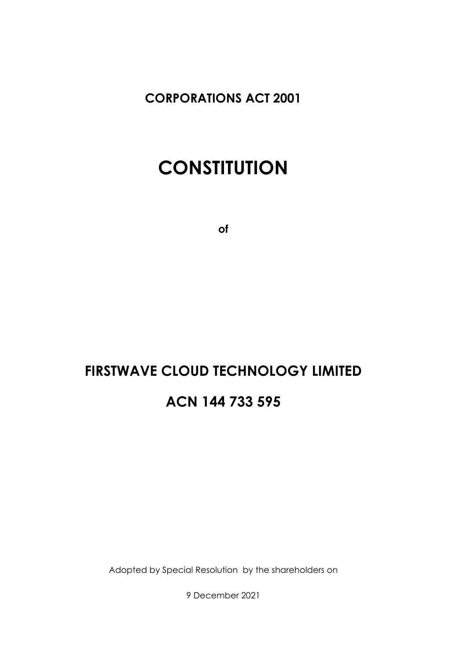**CORPORATIONS ACT 2001**

# **CONSTITUTION**

**of**

# **FIRSTWAVE CLOUD TECHNOLOGY LIMITED ACN 144 733 595**

Adopted by Special Resolution by the shareholders on

9 December 2021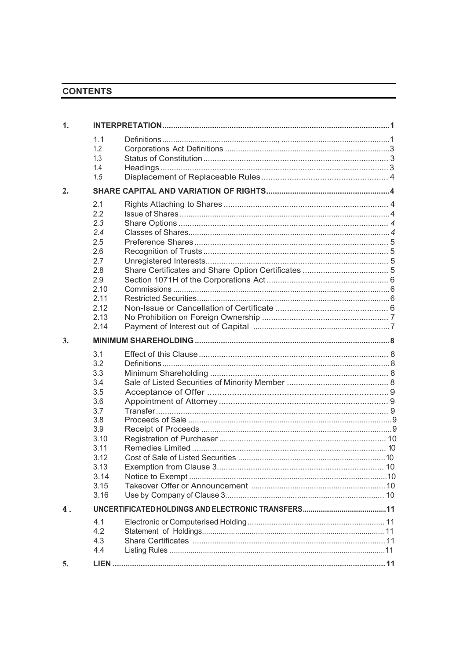# **CONTENTS**

| $\mathbf{1}$ .   |                                                                                                                     |  |
|------------------|---------------------------------------------------------------------------------------------------------------------|--|
|                  | 1.1<br>1.2<br>1.3<br>1.4<br>1.5                                                                                     |  |
| $\overline{2}$ . |                                                                                                                     |  |
|                  | 2.1<br>2.2<br>2.3<br>2.4<br>2.5<br>2.6<br>2.7<br>2.8<br>2.9<br>2.10<br>2.11<br>2.12<br>2.13<br>2.14                 |  |
| 3.               |                                                                                                                     |  |
|                  | 3.1<br>3.2<br>3.3<br>3.4<br>3.5<br>3.6<br>3.7<br>3.8<br>3.9<br>3.10<br>3.11<br>3.12<br>3.13<br>3.14<br>3.15<br>3.16 |  |
| 4.               |                                                                                                                     |  |
|                  | 4.1<br>4.2<br>4.3<br>4.4                                                                                            |  |
| 5.               |                                                                                                                     |  |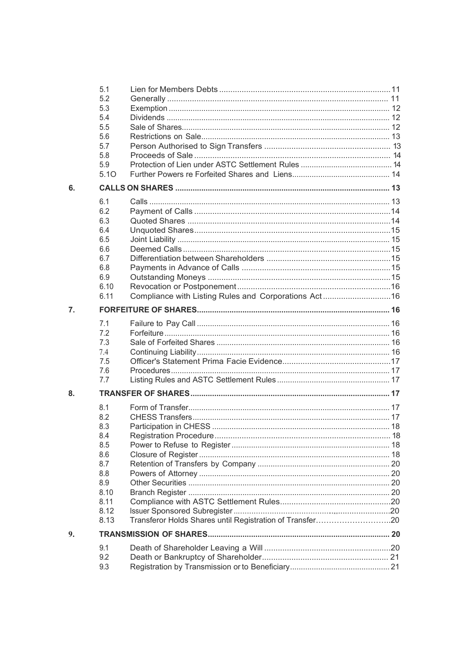|                  | 5.1  |                                                          |  |
|------------------|------|----------------------------------------------------------|--|
|                  | 5.2  |                                                          |  |
|                  | 5.3  |                                                          |  |
|                  | 5.4  |                                                          |  |
|                  | 5.5  |                                                          |  |
|                  | 5.6  |                                                          |  |
|                  | 5.7  |                                                          |  |
|                  | 5.8  |                                                          |  |
|                  | 5.9  |                                                          |  |
|                  | 5.10 |                                                          |  |
| 6.               |      |                                                          |  |
|                  | 6.1  |                                                          |  |
|                  | 6.2  |                                                          |  |
|                  | 6.3  |                                                          |  |
|                  | 6.4  |                                                          |  |
|                  | 6.5  |                                                          |  |
|                  | 6.6  |                                                          |  |
|                  | 6.7  |                                                          |  |
|                  | 6.8  |                                                          |  |
|                  | 6.9  |                                                          |  |
|                  | 6.10 |                                                          |  |
|                  | 6.11 | Compliance with Listing Rules and Corporations Act16     |  |
| $\overline{7}$ . |      |                                                          |  |
|                  | 7.1  |                                                          |  |
|                  | 7.2  |                                                          |  |
|                  | 7.3  |                                                          |  |
|                  | 7.4  |                                                          |  |
|                  | 7.5  |                                                          |  |
|                  | 7.6  |                                                          |  |
|                  | 7.7  |                                                          |  |
| 8.               |      |                                                          |  |
|                  | 8.1  |                                                          |  |
|                  | 8.2  |                                                          |  |
|                  | 8.3  |                                                          |  |
|                  | 8.4  |                                                          |  |
|                  | 8.5  |                                                          |  |
|                  | 8.6  |                                                          |  |
|                  | 8.7  |                                                          |  |
|                  | 8.8  |                                                          |  |
|                  | 8.9  |                                                          |  |
|                  | 8.10 |                                                          |  |
|                  | 8.11 |                                                          |  |
|                  | 8.12 |                                                          |  |
|                  | 8.13 | Transferor Holds Shares until Registration of Transfer20 |  |
| 9.               |      |                                                          |  |
|                  | 9.1  |                                                          |  |
|                  | 9.2  |                                                          |  |
|                  | 9.3  |                                                          |  |
|                  |      |                                                          |  |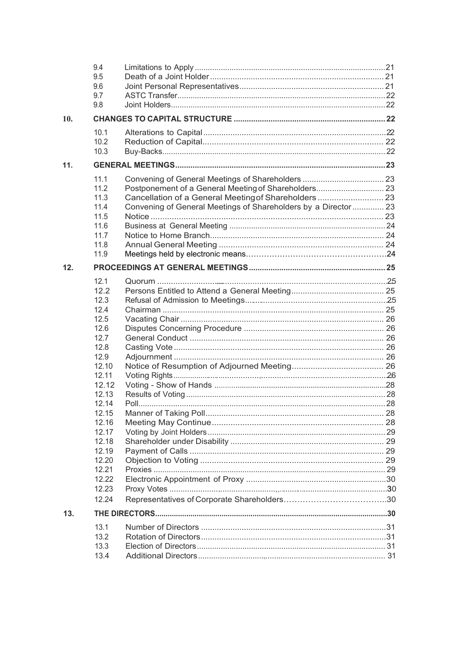|     | 9.4<br>9.5<br>9.6<br>9.7<br>9.8                                                                                                                                                                            |                                                                                                                                                                                  |  |
|-----|------------------------------------------------------------------------------------------------------------------------------------------------------------------------------------------------------------|----------------------------------------------------------------------------------------------------------------------------------------------------------------------------------|--|
| 10. |                                                                                                                                                                                                            |                                                                                                                                                                                  |  |
|     | 10.1<br>10.2<br>10.3                                                                                                                                                                                       |                                                                                                                                                                                  |  |
| 11. |                                                                                                                                                                                                            |                                                                                                                                                                                  |  |
|     | 11.1<br>11.2<br>11.3<br>11.4<br>11.5<br>11.6<br>11.7<br>11.8<br>11.9                                                                                                                                       | Postponement of a General Meeting of Shareholders 23<br>Cancellation of a General Meeting of Shareholders  23<br>Convening of General Meetings of Shareholders by a Director  23 |  |
| 12. |                                                                                                                                                                                                            |                                                                                                                                                                                  |  |
|     | 12.1<br>122<br>12.3<br>12.4<br>12.5<br>12.6<br>12.7<br>12.8<br>12.9<br>12.10<br>12.11<br>12.12<br>12.13<br>12.14<br>12.15<br>12.16<br>12.17<br>12.18<br>12.19<br>12.20<br>12.21<br>12.22<br>12.23<br>12.24 | Manner of Taking Poll                                                                                                                                                            |  |
| 13. |                                                                                                                                                                                                            |                                                                                                                                                                                  |  |
|     | 13.1<br>13.2<br>13.3<br>13.4                                                                                                                                                                               |                                                                                                                                                                                  |  |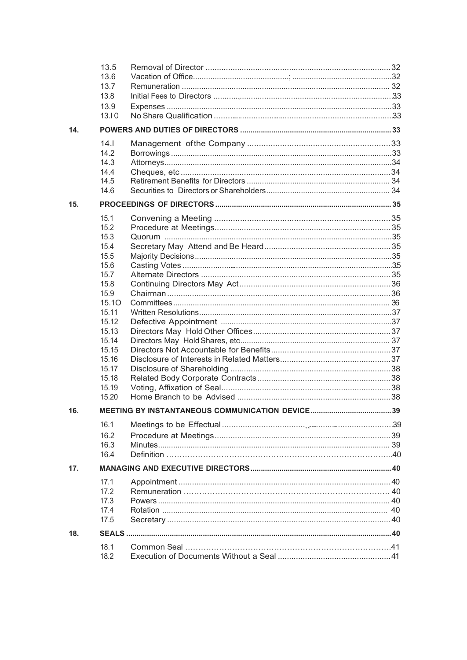|     | 13.5         |  |  |
|-----|--------------|--|--|
|     | 13.6         |  |  |
|     | 13.7         |  |  |
|     | 13.8         |  |  |
|     | 13.9         |  |  |
|     | 13.10        |  |  |
| 14. |              |  |  |
|     | 14.1         |  |  |
|     | 14.2         |  |  |
|     | 14.3         |  |  |
|     | 14.4         |  |  |
|     | 14.5         |  |  |
|     | 14.6         |  |  |
| 15. |              |  |  |
|     | 15.1         |  |  |
|     | 15.2         |  |  |
|     | 15.3         |  |  |
|     | 15.4         |  |  |
|     | 15.5         |  |  |
|     | 15.6<br>15.7 |  |  |
|     | 15.8         |  |  |
|     | 15.9         |  |  |
|     | 15.10        |  |  |
|     | 15.11        |  |  |
|     | 15.12        |  |  |
|     | 15.13        |  |  |
|     | 15.14        |  |  |
|     | 15.15        |  |  |
|     | 15.16        |  |  |
|     | 15.17        |  |  |
|     | 15.18        |  |  |
|     | 15.19        |  |  |
|     | 15.20        |  |  |
| 16. |              |  |  |
|     | 16.1         |  |  |
|     | 16.2         |  |  |
|     | 16.3         |  |  |
|     | 16.4         |  |  |
| 17. |              |  |  |
|     | 17.1         |  |  |
|     | 17.2         |  |  |
|     | 17.3         |  |  |
|     | 17.4         |  |  |
|     | 17.5         |  |  |
| 18. |              |  |  |
|     | 18.1         |  |  |
|     | 18.2         |  |  |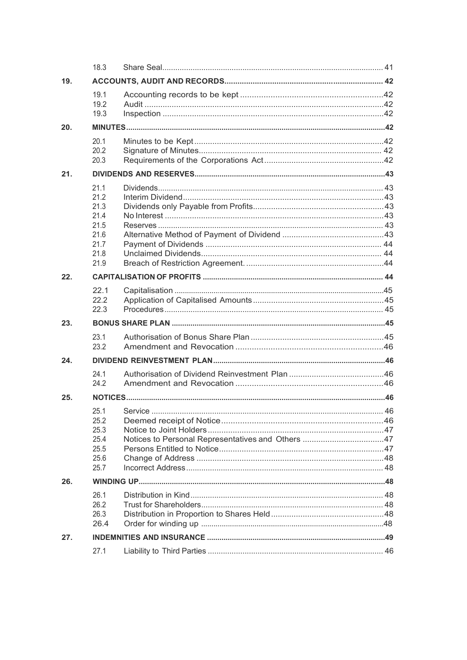|     | 18.3                                                                 |  |  |
|-----|----------------------------------------------------------------------|--|--|
| 19. |                                                                      |  |  |
|     | 19.1<br>19.2<br>19.3                                                 |  |  |
| 20. |                                                                      |  |  |
|     | 20.1<br>20.2<br>20.3                                                 |  |  |
| 21. |                                                                      |  |  |
|     | 21.1<br>21.2<br>21.3<br>21.4<br>21.5<br>21.6<br>21.7<br>21.8<br>21.9 |  |  |
| 22. |                                                                      |  |  |
|     | 22.1<br>22.2<br>22.3                                                 |  |  |
| 23. |                                                                      |  |  |
|     | 23.1<br>23.2                                                         |  |  |
| 24. |                                                                      |  |  |
|     | 24.1<br>24.2                                                         |  |  |
| 25. |                                                                      |  |  |
|     | 25.1<br>25.2<br>25.3<br>25.4<br>25.5<br>25.6<br>25.7                 |  |  |
| 26. |                                                                      |  |  |
|     | 26.1<br>26.2<br>26.3<br>26.4                                         |  |  |
| 27. |                                                                      |  |  |
|     | 27.1                                                                 |  |  |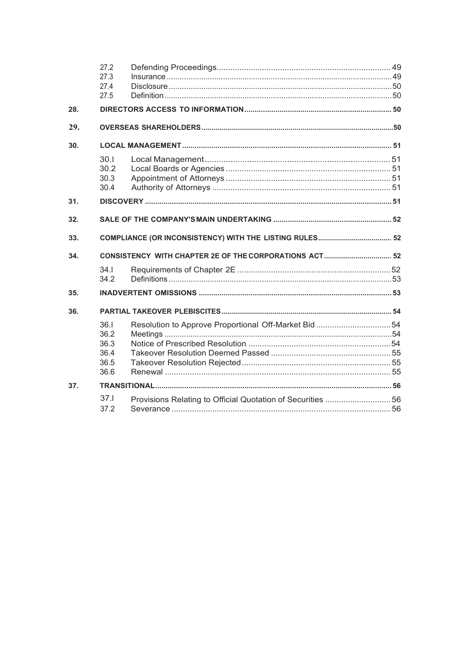| 28. | 27.2<br>27.3<br>27.4<br>27.5 |                                                            |  |
|-----|------------------------------|------------------------------------------------------------|--|
|     |                              |                                                            |  |
| 29. |                              |                                                            |  |
| 30. |                              |                                                            |  |
|     | 30.1<br>30.2<br>30.3<br>30.4 |                                                            |  |
| 31. |                              |                                                            |  |
| 32. |                              |                                                            |  |
| 33. |                              |                                                            |  |
| 34. |                              |                                                            |  |
|     | 34.1<br>34.2                 |                                                            |  |
| 35. |                              |                                                            |  |
| 36. |                              |                                                            |  |
|     | 36.1                         | Resolution to Approve Proportional Off-Market Bid 54       |  |
|     | 36.2                         |                                                            |  |
|     | 36.3                         |                                                            |  |
|     | 36.4                         |                                                            |  |
|     | 36.5<br>36.6                 |                                                            |  |
| 37. |                              |                                                            |  |
|     | 37 <sub>1</sub>              | Provisions Relating to Official Quotation of Securities 56 |  |
|     | 37.2                         |                                                            |  |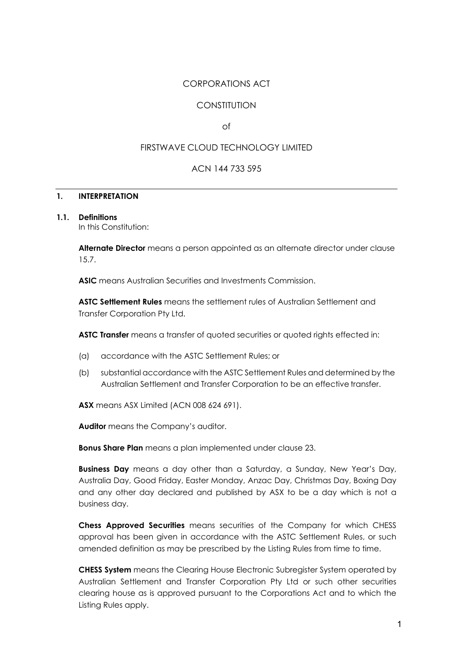# CORPORATIONS ACT

# **CONSTITUTION**

of

# FIRSTWAVE CLOUD TECHNOLOGY LIMITED

# ACN 144 733 595

# **1. INTERPRETATION**

# **1.1. Definitions**

In this Constitution:

**Alternate Director** means a person appointed as an alternate director under clause 15.7.

**ASIC** means Australian Securities and Investments Commission.

**ASTC Settlement Rules** means the settlement rules of Australian Settlement and Transfer Corporation Pty Ltd.

**ASTC Transfer** means a transfer of quoted securities or quoted rights effected in:

- (a) accordance with the ASTC Settlement Rules; or
- (b) substantial accordance with the ASTC Settlement Rules and determined by the Australian Settlement and Transfer Corporation to be an effective transfer.

**ASX** means ASX Limited (ACN 008 624 691).

**Auditor** means the Company's auditor.

**Bonus Share Plan** means a plan implemented under clause 23.

**Business Day** means a day other than a Saturday, a Sunday, New Year's Day, Australia Day, Good Friday, Easter Monday, Anzac Day, Christmas Day, Boxing Day and any other day declared and published by ASX to be a day which is not a business day.

**Chess Approved Securities** means securities of the Company for which CHESS approval has been given in accordance with the ASTC Settlement Rules, or such amended definition as may be prescribed by the Listing Rules from time to time.

**CHESS System** means the Clearing House Electronic Subregister System operated by Australian Settlement and Transfer Corporation Pty Ltd or such other securities clearing house as is approved pursuant to the Corporations Act and to which the Listing Rules apply.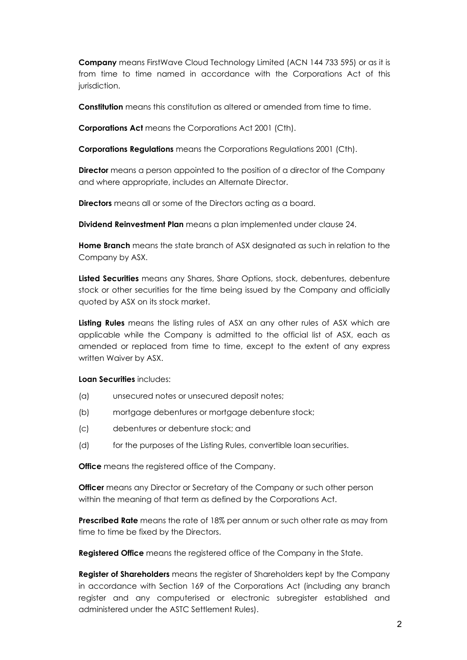**Company** means FirstWave Cloud Technology Limited (ACN 144 733 595) or as it is from time to time named in accordance with the Corporations Act of this jurisdiction.

**Constitution** means this constitution as altered or amended from time to time.

**Corporations Act** means the Corporations Act 2001 (Cth).

**Corporations Regulations** means the Corporations Regulations 2001 (Cth).

**Director** means a person appointed to the position of a director of the Company and where appropriate, includes an Alternate Director.

**Directors** means all or some of the Directors acting as a board.

**Dividend Reinvestment Plan** means a plan implemented under clause 24.

**Home Branch** means the state branch of ASX designated as such in relation to the Company by ASX.

**Listed Securities** means any Shares, Share Options, stock, debentures, debenture stock or other securities for the time being issued by the Company and officially quoted by ASX on its stock market.

**Listing Rules** means the listing rules of ASX an any other rules of ASX which are applicable while the Company is admitted to the official list of ASX, each as amended or replaced from time to time, except to the extent of any express written Waiver by ASX.

**Loan Securities** includes:

- (a) unsecured notes or unsecured deposit notes;
- (b) mortgage debentures or mortgage debenture stock;
- (c) debentures or debenture stock; and
- (d) for the purposes of the Listing Rules, convertible loan securities.

**Office** means the registered office of the Company.

**Officer** means any Director or Secretary of the Company or such other person within the meaning of that term as defined by the Corporations Act.

**Prescribed Rate** means the rate of 18% per annum or such other rate as may from time to time be fixed by the Directors.

**Registered Office** means the registered office of the Company in the State.

**Register of Shareholders** means the register of Shareholders kept by the Company in accordance with Section 169 of the Corporations Act (including any branch register and any computerised or electronic subregister established and administered under the ASTC Settlement Rules).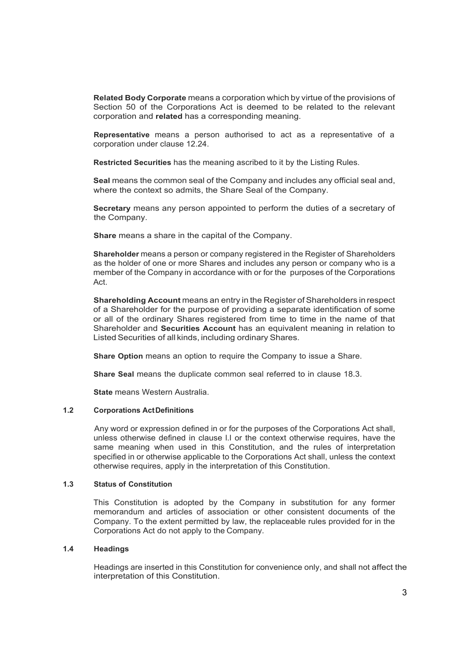**Related Body Corporate** means a corporation which by virtue of the provisions of Section 50 of the Corporations Act is deemed to be related to the relevant corporation and **related** has a corresponding meaning.

**Representative** means a person authorised to act as a representative of a corporation under clause 12.24.

**Restricted Securities** has the meaning ascribed to it by the Listing Rules.

**Seal** means the common seal of the Company and includes any official seal and, where the context so admits, the Share Seal of the Company.

**Secretary** means any person appointed to perform the duties of a secretary of the Company.

**Share** means a share in the capital of the Company.

**Shareholder** means a person or company registered in the Register of Shareholders as the holder of one or more Shares and includes any person or company who is a member of the Company in accordance with or for the purposes of the Corporations Act.

**Shareholding Account** means an entry in the Register of Shareholders in respect of a Shareholder for the purpose of providing a separate identification of some or all of the ordinary Shares registered from time to time in the name of that Shareholder and **Securities Account** has an equivalent meaning in relation to Listed Securities of all kinds, including ordinary Shares.

**Share Option** means an option to require the Company to issue a Share.

**Share Seal** means the duplicate common seal referred to in clause 18.3.

**State** means Western Australia.

#### **1.2 Corporations ActDefinitions**

Any word or expression defined in or for the purposes of the Corporations Act shall, unless otherwise defined in clause l.l or the context otherwise requires, have the same meaning when used in this Constitution, and the rules of interpretation specified in or otherwise applicable to the Corporations Act shall, unless the context otherwise requires, apply in the interpretation of this Constitution.

#### **1.3 Status of Constitution**

This Constitution is adopted by the Company in substitution for any former memorandum and articles of association or other consistent documents of the Company. To the extent permitted by law, the replaceable rules provided for in the Corporations Act do not apply to the Company.

#### **1.4 Headings**

Headings are inserted in this Constitution for convenience only, and shall not affect the interpretation of this Constitution.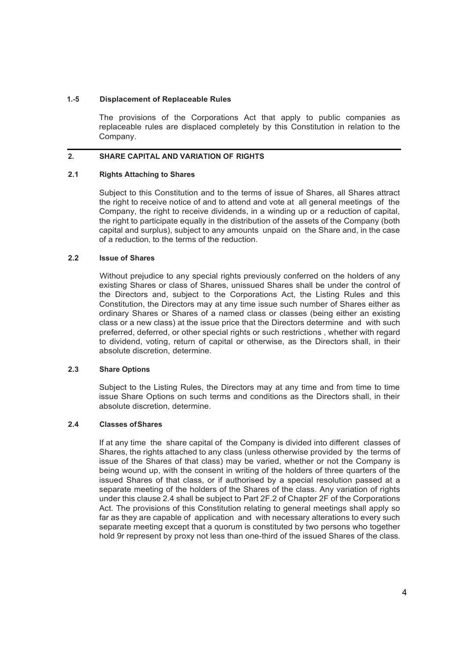#### **1.-5 Displacement of Replaceable Rules**

The provisions of the Corporations Act that apply to public companies as replaceable rules are displaced completely by this Constitution in relation to the Company.

# **2. SHARE CAPITAL AND VARIATION OF RIGHTS**

#### **2.1 Rights Attaching to Shares**

Subject to this Constitution and to the terms of issue of Shares, all Shares attract the right to receive notice of and to attend and vote at all general meetings of the Company, the right to receive dividends, in a winding up or a reduction of capital, the right to participate equally in the distribution of the assets of the Company (both capital and surplus), subject to any amounts unpaid on the Share and, in the case of a reduction, to the terms of the reduction.

# **2.2 Issue of Shares**

Without prejudice to any special rights previously conferred on the holders of any existing Shares or class of Shares, unissued Shares shall be under the control of the Directors and, subject to the Corporations Act, the Listing Rules and this Constitution, the Directors may at any time issue such number of Shares either as ordinary Shares or Shares of a named class or classes (being either an existing class or a new class) at the issue price that the Directors determine and with such preferred, deferred, or other special rights or such restrictions , whether with regard to dividend, voting, return of capital or otherwise, as the Directors shall, in their absolute discretion, determine.

#### **2.3 Share Options**

Subject to the Listing Rules, the Directors may at any time and from time to time issue Share Options on such terms and conditions as the Directors shall, in their absolute discretion, determine.

#### **2.4 Classes ofShares**

If at any time the share capital of the Company is divided into different classes of Shares, the rights attached to any class (unless otherwise provided by the terms of issue of the Shares of that class) may be varied, whether or not the Company is being wound up, with the consent in writing of the holders of three quarters of the issued Shares of that class, or if authorised by a special resolution passed at a separate meeting of the holders of the Shares of the class. Any variation of rights under this clause 2.4 shall be subject to Part 2F.2 of Chapter 2F of the Corporations Act. The provisions of this Constitution relating to general meetings shall apply so far as they are capable of application and with necessary alterations to every such separate meeting except that a quorum is constituted by two persons who together hold 9r represent by proxy not less than one-third of the issued Shares of the class.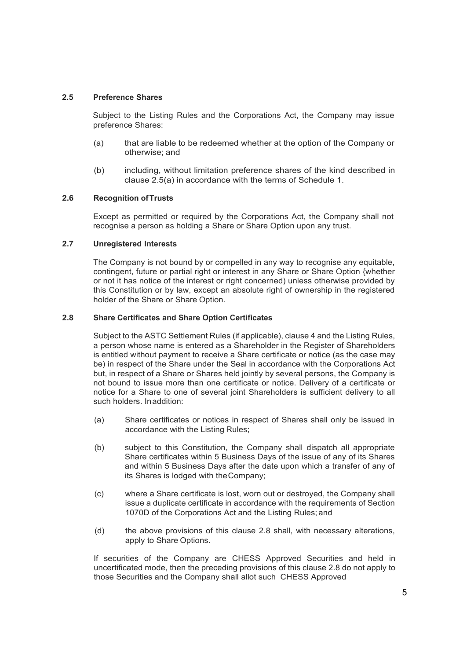# **2.5 Preference Shares**

Subject to the Listing Rules and the Corporations Act, the Company may issue preference Shares:

- (a) that are liable to be redeemed whether at the option of the Company or otherwise; and
- (b) including, without limitation preference shares of the kind described in clause 2.5(a) in accordance with the terms of Schedule 1.

#### **2.6 Recognition ofTrusts**

Except as permitted or required by the Corporations Act, the Company shall not recognise a person as holding a Share or Share Option upon any trust.

# **2.7 Unregistered Interests**

The Company is not bound by or compelled in any way to recognise any equitable, contingent, future or partial right or interest in any Share or Share Option {whether or not it has notice of the interest or right concerned) unless otherwise provided by this Constitution or by law, except an absolute right of ownership in the registered holder of the Share or Share Option.

## **2.8 Share Certificates and Share Option Certificates**

Subject to the ASTC Settlement Rules (if applicable), clause 4 and the Listing Rules, a person whose name is entered as a Shareholder in the Register of Shareholders is entitled without payment to receive a Share certificate or notice (as the case may be) in respect of the Share under the Seal in accordance with the Corporations Act but, in respect of a Share or Shares held jointly by several persons, the Company is not bound to issue more than one certificate or notice. Delivery of a certificate or notice for a Share to one of several joint Shareholders is sufficient delivery to all such holders. Inaddition:

- (a) Share certificates or notices in respect of Shares shall only be issued in accordance with the Listing Rules;
- (b) subject to this Constitution, the Company shall dispatch all appropriate Share certificates within 5 Business Days of the issue of any of its Shares and within 5 Business Days after the date upon which a transfer of any of its Shares is lodged with theCompany;
- (c) where a Share certificate is lost, worn out or destroyed, the Company shall issue a duplicate certificate in accordance with the requirements of Section 1070D of the Corporations Act and the Listing Rules; and
- (d) the above provisions of this clause 2.8 shall, with necessary alterations, apply to Share Options.

If securities of the Company are CHESS Approved Securities and held in uncertificated mode, then the preceding provisions of this clause 2.8 do not apply to those Securities and the Company shall allot such CHESS Approved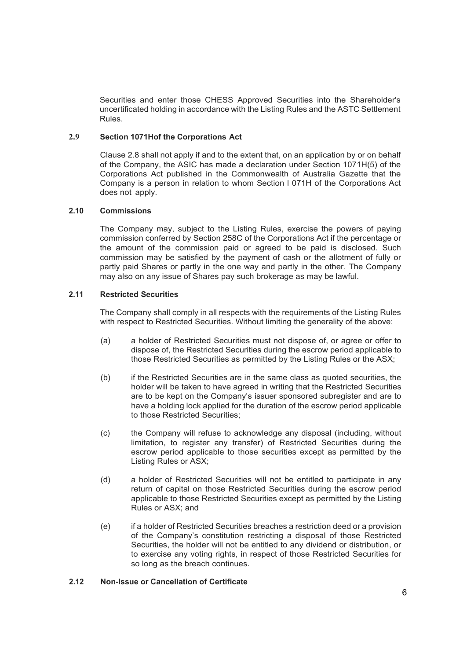Securities and enter those CHESS Approved Securities into the Shareholder's uncertificated holding in accordance with the Listing Rules and the ASTC Settlement Rules.

#### **2.9 Section 1071Hof the Corporations Act**

Clause 2.8 shall not apply if and to the extent that, on an application by or on behalf of the Company, the ASIC has made a declaration under Section 1071H(5) of the Corporations Act published in the Commonwealth of Australia Gazette that the Company is a person in relation to whom Section l 071H of the Corporations Act does not apply.

# **2.10 Commissions**

The Company may, subject to the Listing Rules, exercise the powers of paying commission conferred by Section 258C of the Corporations Act if the percentage or the amount of the commission paid or agreed to be paid is disclosed. Such commission may be satisfied by the payment of cash or the allotment of fully or partly paid Shares or partly in the one way and partly in the other. The Company may also on any issue of Shares pay such brokerage as may be lawful.

## **2.11 Restricted Securities**

The Company shall comply in all respects with the requirements of the Listing Rules with respect to Restricted Securities. Without limiting the generality of the above:

- (a) a holder of Restricted Securities must not dispose of, or agree or offer to dispose of, the Restricted Securities during the escrow period applicable to those Restricted Securities as permitted by the Listing Rules or the ASX;
- (b) if the Restricted Securities are in the same class as quoted securities, the holder will be taken to have agreed in writing that the Restricted Securities are to be kept on the Company's issuer sponsored subregister and are to have a holding lock applied for the duration of the escrow period applicable to those Restricted Securities;
- (c) the Company will refuse to acknowledge any disposal (including, without limitation, to register any transfer) of Restricted Securities during the escrow period applicable to those securities except as permitted by the Listing Rules or ASX;
- (d) a holder of Restricted Securities will not be entitled to participate in any return of capital on those Restricted Securities during the escrow period applicable to those Restricted Securities except as permitted by the Listing Rules or ASX; and
- (e) if a holder of Restricted Securities breaches a restriction deed or a provision of the Company's constitution restricting a disposal of those Restricted Securities, the holder will not be entitled to any dividend or distribution, or to exercise any voting rights, in respect of those Restricted Securities for so long as the breach continues.

#### **2.12 Non-Issue or Cancellation of Certificate**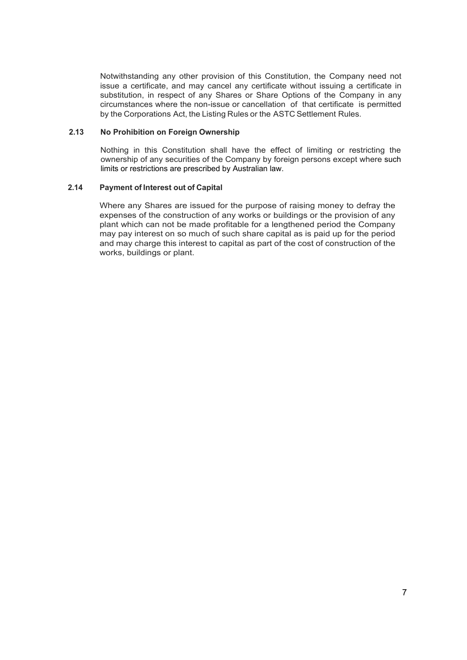Notwithstanding any other provision of this Constitution, the Company need not issue a certificate, and may cancel any certificate without issuing a certificate in substitution, in respect of any Shares or Share Options of the Company in any circumstances where the non-issue or cancellation of that certificate is permitted by the Corporations Act, the Listing Rules or the ASTC Settlement Rules.

#### **2.13 No Prohibition on Foreign Ownership**

Nothing in this Constitution shall have the effect of limiting or restricting the ownership of any securities of the Company by foreign persons except where such limits or restrictions are prescribed by Australian law.

#### **2.14 Payment of Interest out of Capital**

Where any Shares are issued for the purpose of raising money to defray the expenses of the construction of any works or buildings or the provision of any plant which can not be made profitable for a lengthened period the Company may pay interest on so much of such share capital as is paid up for the period and may charge this interest to capital as part of the cost of construction of the works, buildings or plant.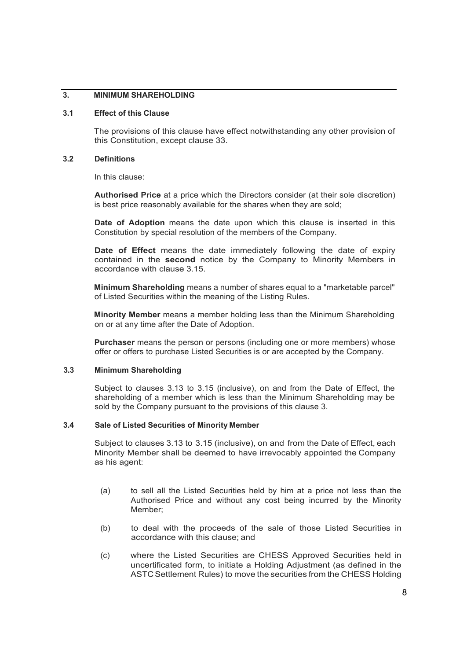# **3. MINIMUM SHAREHOLDING**

#### **3.1 Effect of this Clause**

The provisions of this clause have effect notwithstanding any other provision of this Constitution, except clause 33.

#### **3.2 Definitions**

In this clause:

**Authorised Price** at a price which the Directors consider (at their sole discretion) is best price reasonably available for the shares when they are sold;

**Date of Adoption** means the date upon which this clause is inserted in this Constitution by special resolution of the members of the Company.

**Date of Effect** means the date immediately following the date of expiry contained in the **second** notice by the Company to Minority Members in accordance with clause 3.15.

**Minimum Shareholding** means a number of shares equal to a "marketable parcel" of Listed Securities within the meaning of the Listing Rules.

**Minority Member** means a member holding less than the Minimum Shareholding on or at any time after the Date of Adoption.

**Purchaser** means the person or persons (including one or more members) whose offer or offers to purchase Listed Securities is or are accepted by the Company.

# **3.3 Minimum Shareholding**

Subject to clauses 3.13 to 3.15 (inclusive), on and from the Date of Effect, the shareholding of a member which is less than the Minimum Shareholding may be sold by the Company pursuant to the provisions of this clause 3.

#### **3.4 Sale of Listed Securities of Minority Member**

Subject to clauses 3.13 to 3.15 (inclusive), on and from the Date of Effect, each Minority Member shall be deemed to have irrevocably appointed the Company as his agent:

- (a) to sell all the Listed Securities held by him at a price not less than the Authorised Price and without any cost being incurred by the Minority Member;
- (b) to deal with the proceeds of the sale of those Listed Securities in accordance with this clause; and
- (c) where the Listed Securities are CHESS Approved Securities held in uncertificated form, to initiate a Holding Adjustment (as defined in the ASTC Settlement Rules) to move the securities from the CHESS Holding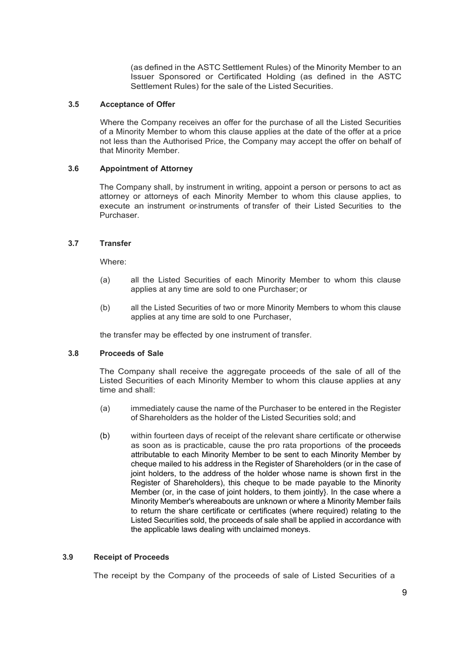(as defined in the ASTC Settlement Rules) of the Minority Member to an Issuer Sponsored or Certificated Holding (as defined in the ASTC Settlement Rules) for the sale of the Listed Securities.

#### **3.5 Acceptance of Offer**

Where the Company receives an offer for the purchase of all the Listed Securities of a Minority Member to whom this clause applies at the date of the offer at a price not less than the Authorised Price, the Company may accept the offer on behalf of that Minority Member.

#### **3.6 Appointment of Attorney**

The Company shall, by instrument in writing, appoint a person or persons to act as attorney or attorneys of each Minority Member to whom this clause applies, to execute an instrument or-instruments of transfer of their Listed Securities to the Purchaser.

#### **3.7 Transfer**

Where:

- (a) all the Listed Securities of each Minority Member to whom this clause applies at any time are sold to one Purchaser; or
- (b) all the Listed Securities of two or more Minority Members to whom this clause applies at any time are sold to one Purchaser,

the transfer may be effected by one instrument of transfer.

# **3.8 Proceeds of Sale**

The Company shall receive the aggregate proceeds of the sale of all of the Listed Securities of each Minority Member to whom this clause applies at any time and shall:

- (a) immediately cause the name of the Purchaser to be entered in the Register of Shareholders as the holder of the Listed Securities sold; and
- (b) within fourteen days of receipt of the relevant share certificate or otherwise as soon as is practicable, cause the pro rata proportions of the proceeds attributable to each Minority Member to be sent to each Minority Member by cheque mailed to his address in the Register of Shareholders (or in the case of joint holders, to the address of the holder whose name is shown first in the Register of Shareholders), this cheque to be made payable to the Minority Member (or, in the case of joint holders, to them jointly}. In the case where a Minority Member's whereabouts are unknown or where a Minority Member fails to return the share certificate or certificates (where required) relating to the Listed Securities sold, the proceeds of sale shall be applied in accordance with the applicable laws dealing with unclaimed moneys.

# **3.9 Receipt of Proceeds**

The receipt by the Company of the proceeds of sale of Listed Securities of a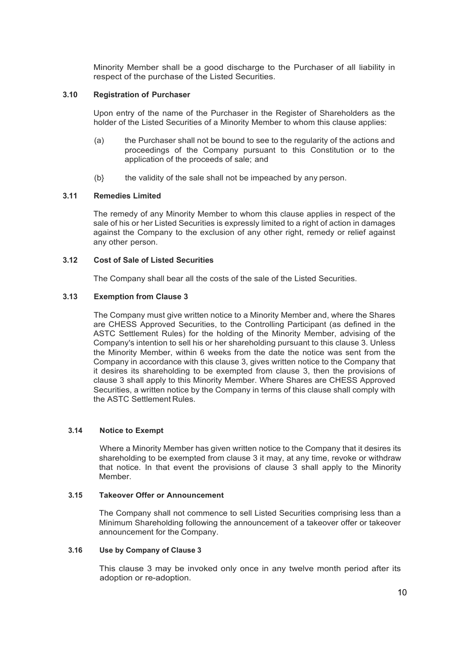Minority Member shall be a good discharge to the Purchaser of all liability in respect of the purchase of the Listed Securities.

#### **3.10 Registration of Purchaser**

Upon entry of the name of the Purchaser in the Register of Shareholders as the holder of the Listed Securities of a Minority Member to whom this clause applies:

- (a) the Purchaser shall not be bound to see to the regularity of the actions and proceedings of the Company pursuant to this Constitution or to the application of the proceeds of sale; and
- $(b)$  the validity of the sale shall not be impeached by any person.

#### **3.11 Remedies Limited**

The remedy of any Minority Member to whom this clause applies in respect of the sale of his or her Listed Securities is expressly limited to a right of action in damages against the Company to the exclusion of any other right, remedy or relief against any other person.

# **3.12 Cost of Sale of Listed Securities**

The Company shall bear all the costs of the sale of the Listed Securities.

#### **3.13 Exemption from Clause 3**

The Company must give written notice to a Minority Member and, where the Shares are CHESS Approved Securities, to the Controlling Participant (as defined in the ASTC Settlement Rules) for the holding of the Minority Member, advising of the Company's intention to sell his or her shareholding pursuant to this clause 3. Unless the Minority Member, within 6 weeks from the date the notice was sent from the Company in accordance with this clause 3, gives written notice to the Company that it desires its shareholding to be exempted from clause 3, then the provisions of clause 3 shall apply to this Minority Member. Where Shares are CHESS Approved Securities, a written notice by the Company in terms of this clause shall comply with the ASTC Settlement Rules.

#### **3.14 Notice to Exempt**

Where a Minority Member has given written notice to the Company that it desires its shareholding to be exempted from clause 3 it may, at any time, revoke or withdraw that notice. In that event the provisions of clause 3 shall apply to the Minority Member.

#### **3.15 Takeover Offer or Announcement**

The Company shall not commence to sell Listed Securities comprising less than a Minimum Shareholding following the announcement of a takeover offer or takeover announcement for the Company.

#### **3.16 Use by Company of Clause 3**

This clause 3 may be invoked only once in any twelve month period after its adoption or re-adoption.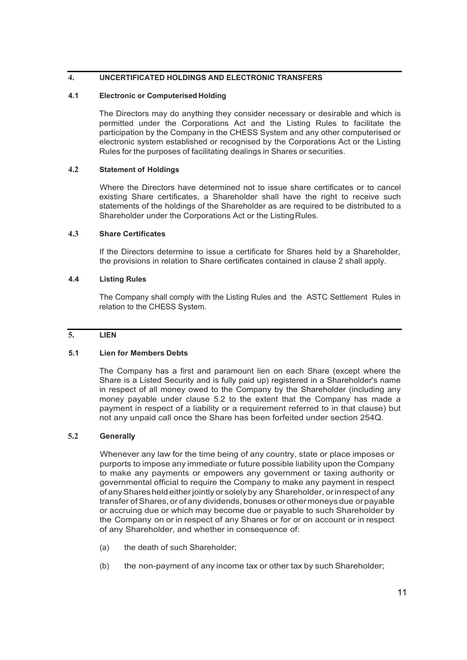# **4. UNCERTIFICATED HOLDINGS AND ELECTRONIC TRANSFERS**

# **4.1 Electronic or Computerised Holding**

The Directors may do anything they consider necessary or desirable and which is permitted under the Corporations Act and the Listing Rules to facilitate the participation by the Company in the CHESS System and any other computerised or electronic system established or recognised by the Corporations Act or the Listing Rules for the purposes of facilitating dealings in Shares or securities.

# **4.2 Statement of Holdings**

Where the Directors have determined not to issue share certificates or to cancel existing Share certificates, a Shareholder shall have the right to receive such statements of the holdings of the Shareholder as are required to be distributed to a Shareholder under the Corporations Act or the Listing Rules.

# **4.3 Share Certificates**

If the Directors determine to issue a certificate for Shares held by a Shareholder, the provisions in relation to Share certificates contained in clause 2 shall apply.

#### **4.4 Listing Rules**

The Company shall comply with the Listing Rules and the ASTC Settlement Rules in relation to the CHESS System.

# **5. LIEN**

# **5.1 Lien for Members Debts**

The Company has a first and paramount lien on each Share (except where the Share is a Listed Security and is fully paid up) registered in a Shareholder's name in respect of all money owed to the Company by the Shareholder (including any money payable under clause 5.2 to the extent that the Company has made a payment in respect of a liability or a requirement referred to in that clause) but not any unpaid call once the Share has been forfeited under section 254Q.

# **5.2 Generally**

Whenever any law for the time being of any country, state or place imposes or purports to impose any immediate or future possible liability upon the Company to make any payments or empowers any government or taxing authority or governmental official to require the Company to make any payment in respect of anySharesheld eitherjointly or solely by any Shareholder, orinrespect of any transfer ofShares, or of any dividends, bonuses or other moneys due orpayable or accruing due or which may become due or payable to such Shareholder by the Company on or in respect of any Shares or for or on account or in respect of any Shareholder, and whether in consequence of:

- (a) the death of such Shareholder;
- (b) the non-payment of any income tax or other tax by such Shareholder;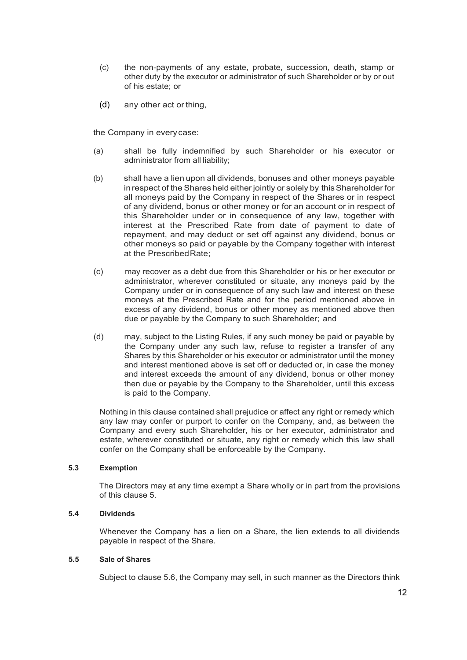- (c) the non-payments of any estate, probate, succession, death, stamp or other duty by the executor or administrator of such Shareholder or by or out of his estate; or
- (d) any other act or thing,

the Company in everycase:

- (a) shall be fully indemnified by such Shareholder or his executor or administrator from all liability;
- (b) shall have a lien upon all dividends, bonuses and other moneys payable in respect of the Shares held either jointly or solely by this Shareholder for all moneys paid by the Company in respect of the Shares or in respect of any dividend, bonus or other money or for an account or in respect of this Shareholder under or in consequence of any law, together with interest at the Prescribed Rate from date of payment to date of repayment, and may deduct or set off against any dividend, bonus or other moneys so paid or payable by the Company together with interest at the PrescribedRate;
- (c) may recover as a debt due from this Shareholder or his or her executor or administrator, wherever constituted or situate, any moneys paid by the Company under or in consequence of any such law and interest on these moneys at the Prescribed Rate and for the period mentioned above in excess of any dividend, bonus or other money as mentioned above then due or payable by the Company to such Shareholder; and
- (d) may, subject to the Listing Rules, if any such money be paid or payable by the Company under any such law, refuse to register a transfer of any Shares by this Shareholder or his executor or administrator until the money and interest mentioned above is set off or deducted or, in case the money and interest exceeds the amount of any dividend, bonus or other money then due or payable by the Company to the Shareholder, until this excess is paid to the Company.

Nothing in this clause contained shall prejudice or affect any right or remedy which any law may confer or purport to confer on the Company, and, as between the Company and every such Shareholder, his or her executor, administrator and estate, wherever constituted or situate, any right or remedy which this law shall confer on the Company shall be enforceable by the Company.

#### **5.3 Exemption**

The Directors may at any time exempt a Share wholly or in part from the provisions of this clause 5.

#### **5.4 Dividends**

Whenever the Company has a lien on a Share, the lien extends to all dividends payable in respect of the Share.

#### **5.5 Sale of Shares**

Subject to clause 5.6, the Company may sell, in such manner as the Directors think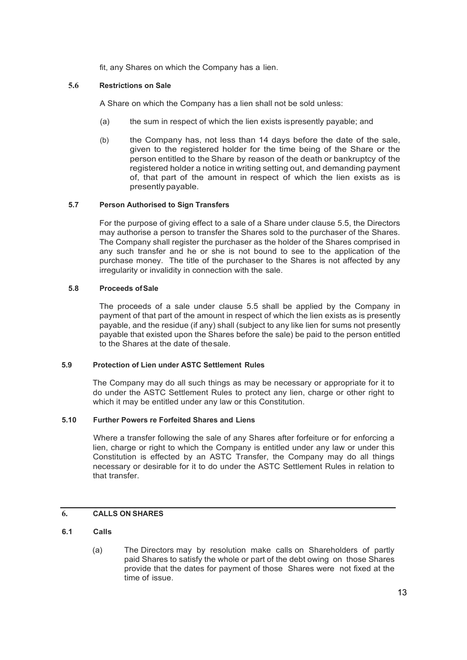fit, any Shares on which the Company has a lien.

# **5.6 Restrictions on Sale**

A Share on which the Company has a lien shall not be sold unless:

- (a) the sum in respect of which the lien exists ispresently payable; and
- (b) the Company has, not less than 14 days before the date of the sale, given to the registered holder for the time being of the Share or the person entitled to the Share by reason of the death or bankruptcy of the registered holder a notice in writing setting out, and demanding payment of, that part of the amount in respect of which the lien exists as is presently payable.

#### **5.7 Person Authorised to Sign Transfers**

For the purpose of giving effect to a sale of a Share under clause 5.5, the Directors may authorise a person to transfer the Shares sold to the purchaser of the Shares. The Company shall register the purchaser as the holder of the Shares comprised in any such transfer and he or she is not bound to see to the application of the purchase money. The title of the purchaser to the Shares is not affected by any irregularity or invalidity in connection with the sale.

#### **5.8 Proceeds ofSale**

The proceeds of a sale under clause 5.5 shall be applied by the Company in payment of that part of the amount in respect of which the lien exists as is presently payable, and the residue (if any) shall (subject to any like lien for sums not presently payable that existed upon the Shares before the sale) be paid to the person entitled to the Shares at the date of thesale.

# **5.9 Protection of Lien under ASTC Settlement Rules**

The Company may do all such things as may be necessary or appropriate for it to do under the ASTC Settlement Rules to protect any lien, charge or other right to which it may be entitled under any law or this Constitution.

#### **5.10 Further Powers re Forfeited Shares and Liens**

Where a transfer following the sale of any Shares after forfeiture or for enforcing a lien, charge or right to which the Company is entitled under any law or under this Constitution is effected by an ASTC Transfer, the Company may do all things necessary or desirable for it to do under the ASTC Settlement Rules in relation to that transfer.

# **6. CALLS ON SHARES**

# **6.1 Calls**

(a) The Directors may by resolution make calls on Shareholders of partly paid Shares to satisfy the whole or part of the debt owing on those Shares provide that the dates for payment of those Shares were not fixed at the time of issue.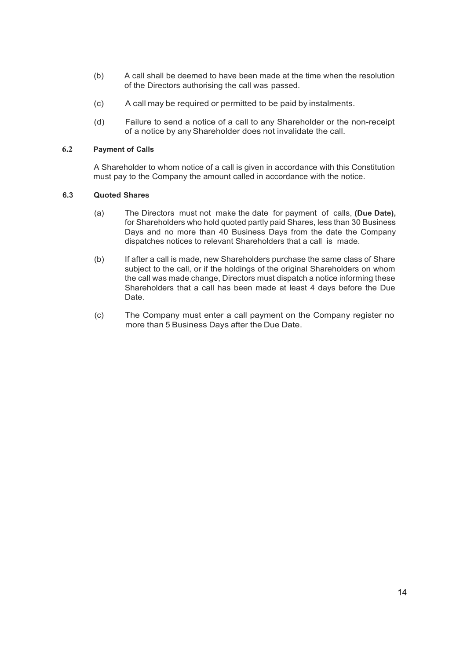- (b) A call shall be deemed to have been made at the time when the resolution of the Directors authorising the call was passed.
- (c) A call may be required or permitted to be paid by instalments.
- (d) Failure to send a notice of a call to any Shareholder or the non-receipt of a notice by anyShareholder does not invalidate the call.

# **6.2 Payment of Calls**

A Shareholder to whom notice of a call is given in accordance with this Constitution must pay to the Company the amount called in accordance with the notice.

# **6.3 Quoted Shares**

- (a) The Directors must not make the date for payment of calls, **(Due Date),**  for Shareholders who hold quoted partly paid Shares, less than 30 Business Days and no more than 40 Business Days from the date the Company dispatches notices to relevant Shareholders that a call is made.
- (b) If after a call is made, new Shareholders purchase the same class of Share subject to the call, or if the holdings of the original Shareholders on whom the call was made change, Directors must dispatch a notice informing these Shareholders that a call has been made at least 4 days before the Due Date.
- (c) The Company must enter a call payment on the Company register no more than 5 Business Days after the Due Date.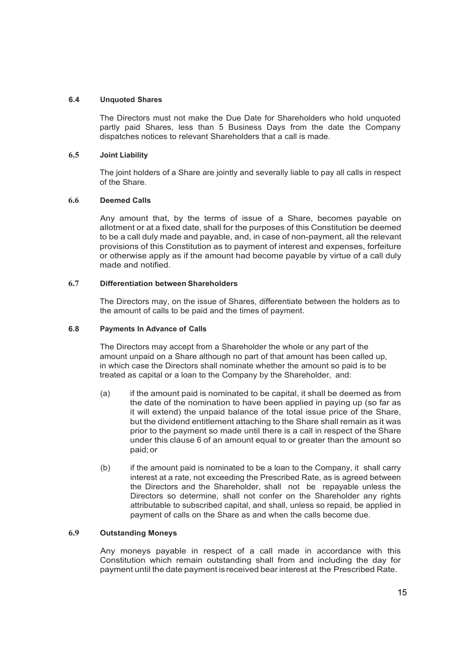#### **6.4 Unquoted Shares**

The Directors must not make the Due Date for Shareholders who hold unquoted partly paid Shares, less than 5 Business Days from the date the Company dispatches notices to relevant Shareholders that a call is made.

# **6.5 Joint Liability**

The joint holders of a Share are jointly and severally liable to pay all calls in respect of the Share.

#### **6.6 Deemed Calls**

Any amount that, by the terms of issue of a Share, becomes payable on allotment or at a fixed date, shall for the purposes of this Constitution be deemed to be a call duly made and payable, and, in case of non-payment, all the relevant provisions of this Constitution as to payment of interest and expenses, forfeiture or otherwise apply as if the amount had become payable by virtue of a call duly made and notified.

# **6.7 Differentiation between Shareholders**

The Directors may, on the issue of Shares, differentiate between the holders as to the amount of calls to be paid and the times of payment.

#### **6.8 Payments In Advance of Calls**

The Directors may accept from a Shareholder the whole or any part of the amount unpaid on a Share although no part of that amount has been called up, in which case the Directors shall nominate whether the amount so paid is to be treated as capital or a loan to the Company by the Shareholder, and:

- (a) if the amount paid is nominated to be capital, it shall be deemed as from the date of the nomination to have been applied in paying up (so far as it will extend) the unpaid balance of the total issue price of the Share, but the dividend entitlement attaching to the Share shall remain as it was prior to the payment so made until there is a call in respect of the Share under this clause 6 of an amount equal to or greater than the amount so paid;or
- (b) if the amount paid is nominated to be a loan to the Company, it shall carry interest at a rate, not exceeding the Prescribed Rate, as is agreed between the Directors and the Shareholder, shall not be repayable unless the Directors so determine, shall not confer on the Shareholder any rights attributable to subscribed capital, and shall, unless so repaid, be applied in payment of calls on the Share as and when the calls become due.

# **6.9 Outstanding Moneys**

Any moneys payable in respect of a call made in accordance with this Constitution which remain outstanding shall from and including the day for payment until the date payment isreceived bear interest at the Prescribed Rate.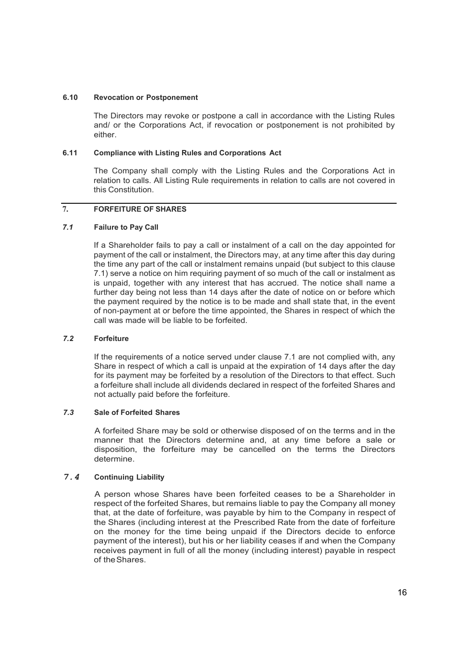#### **6.10 Revocation or Postponement**

The Directors may revoke or postpone a call in accordance with the Listing Rules and/ or the Corporations Act, if revocation or postponement is not prohibited by either.

# **6.11 Compliance with Listing Rules and Corporations Act**

The Company shall comply with the Listing Rules and the Corporations Act in relation to calls. All Listing Rule requirements in relation to calls are not covered in this Constitution.

# **7. FORFEITURE OF SHARES**

# *7.1* **Failure to Pay Call**

If a Shareholder fails to pay a call or instalment of a call on the day appointed for payment of the call or instalment, the Directors may, at any time after this day during the time any part of the call or instalment remains unpaid (but subject to this clause 7.1) serve a notice on him requiring payment of so much of the call or instalment as is unpaid, together with any interest that has accrued. The notice shall name a further day being not less than 14 days after the date of notice on or before which the payment required by the notice is to be made and shall state that, in the event of non-payment at or before the time appointed, the Shares in respect of which the call was made will be liable to be forfeited.

#### *7.2* **Forfeiture**

If the requirements of a notice served under clause 7.1 are not complied with, any Share in respect of which a call is unpaid at the expiration of 14 days after the day for its payment may be forfeited by a resolution of the Directors to that effect. Such a forfeiture shall include all dividends declared in respect of the forfeited Shares and not actually paid before the forfeiture.

#### *7.3* **Sale of Forfeited Shares**

A forfeited Share may be sold or otherwise disposed of on the terms and in the manner that the Directors determine and, at any time before a sale or disposition, the forfeiture may be cancelled on the terms the Directors determine.

# *7.4* **Continuing Liability**

A person whose Shares have been forfeited ceases to be a Shareholder in respect of the forfeited Shares, but remains liable to pay the Company all money that, at the date of forfeiture, was payable by him to the Company in respect of the Shares (including interest at the Prescribed Rate from the date of forfeiture on the money for the time being unpaid if the Directors decide to enforce payment of the interest), but his or her liability ceases if and when the Company receives payment in full of all the money (including interest) payable in respect of theShares.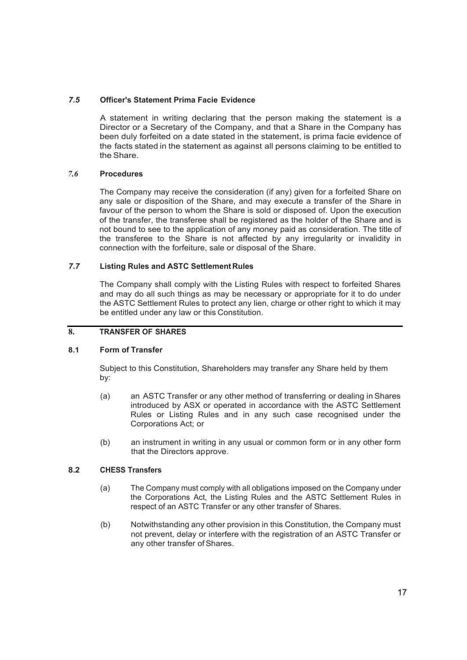# *7.5* **Officer's Statement Prima Facie Evidence**

A statement in writing declaring that the person making the statement is a Director or a Secretary of the Company, and that a Share in the Company has been duly forfeited on a date stated in the statement, is prima facie evidence of the facts stated in the statement as against all persons claiming to be entitled to the Share.

# *7.6* **Procedures**

The Company may receive the consideration (if any) given for a forfeited Share on any sale or disposition of the Share, and may execute a transfer of the Share in favour of the person to whom the Share is sold or disposed of. Upon the execution of the transfer, the transferee shall be registered as the holder of the Share and is not bound to see to the application of any money paid as consideration. The title of the transferee to the Share is not affected by any irregularity or invalidity in connection with the forfeiture, sale or disposal of the Share.

# *7.7* **Listing Rules and ASTC Settlement Rules**

The Company shall comply with the Listing Rules with respect to forfeited Shares and may do all such things as may be necessary or appropriate for it to do under the ASTC Settlement Rules to protect any lien, charge or other right to which it may be entitled under any law or this Constitution.

# **8. TRANSFER OF SHARES**

# **8.1 Form of Transfer**

Subject to this Constitution, Shareholders may transfer any Share held by them by:

- (a) an ASTC Transfer or any other method of transferring or dealing in Shares introduced by ASX or operated in accordance with the ASTC Settlement Rules or Listing Rules and in any such case recognised under the Corporations Act; or
- (b) an instrument in writing in any usual or common form or in any other form that the Directors approve.

# **8.2 CHESS Transfers**

- (a) The Company must comply with all obligations imposed on the Company under the Corporations Act, the Listing Rules and the ASTC Settlement Rules in respect of an ASTC Transfer or any other transfer of Shares.
- (b) Notwithstanding any other provision in this Constitution, the Company must not prevent, delay or interfere with the registration of an ASTC Transfer or any other transfer of Shares.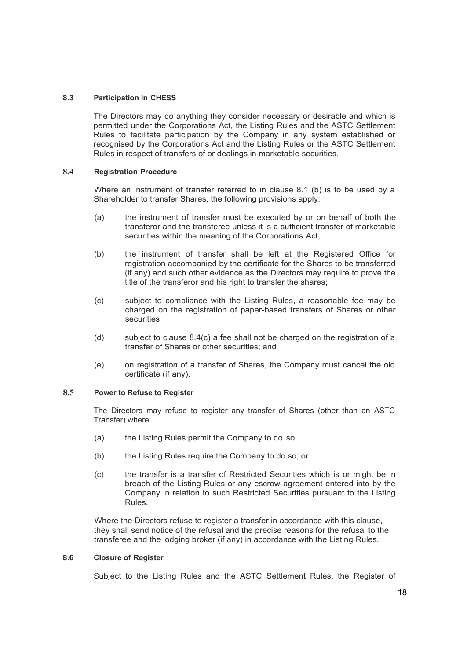#### **8.3 Participation In CHESS**

The Directors may do anything they consider necessary or desirable and which is permitted under the Corporations Act, the Listing Rules and the ASTC Settlement Rules to facilitate participation by the Company in any system established or recognised by the Corporations Act and the Listing Rules or the ASTC Settlement Rules in respect of transfers of or dealings in marketable securities.

#### **8.4 Registration Procedure**

Where an instrument of transfer referred to in clause 8.1 (b) is to be used by a Shareholder to transfer Shares, the following provisions apply:

- (a) the instrument of transfer must be executed by or on behalf of both the transferor and the transferee unless it is a sufficient transfer of marketable securities within the meaning of the Corporations Act;
- (b) the instrument of transfer shall be left at the Registered Office for registration accompanied by the certificate for the Shares to be transferred (if any) and such other evidence as the Directors may require to prove the title of the transferor and his right to transfer the shares;
- (c) subject to compliance with the Listing Rules, a reasonable fee may be charged on the registration of paper-based transfers of Shares or other securities:
- (d) subject to clause  $8.4(c)$  a fee shall not be charged on the registration of a transfer of Shares or other securities; and
- (e) on registration of a transfer of Shares, the Company must cancel the old certificate (if any).

#### **8.5 Power to Refuse to Register**

The Directors may refuse to register any transfer of Shares (other than an ASTC Transfer) where:

- (a) the Listing Rules permit the Company to do so;
- (b) the Listing Rules require the Company to do so; or
- (c) the transfer is a transfer of Restricted Securities which is or might be in breach of the Listing Rules or any escrow agreement entered into by the Company in relation to such Restricted Securities pursuant to the Listing Rules.

Where the Directors refuse to register a transfer in accordance with this clause, they shall send notice of the refusal and the precise reasons for the refusal to the transferee and the lodging broker (if any) in accordance with the Listing Rules.

#### **8.6 Closure of Register**

Subject to the Listing Rules and the ASTC Settlement Rules, the Register of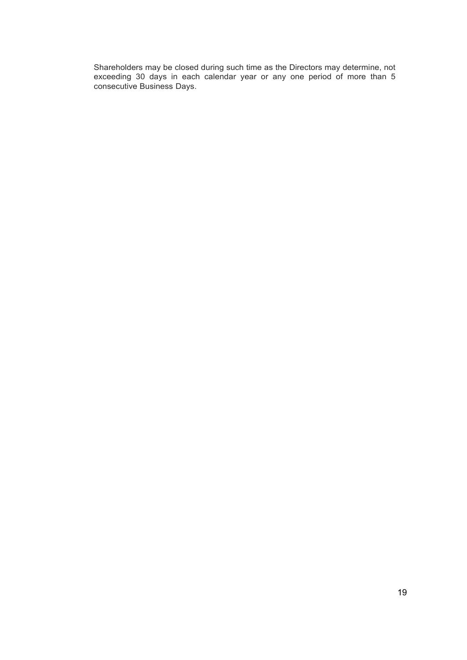Shareholders may be closed during such time as the Directors may determine, not exceeding 30 days in each calendar year or any one period of more than 5 consecutive Business Days.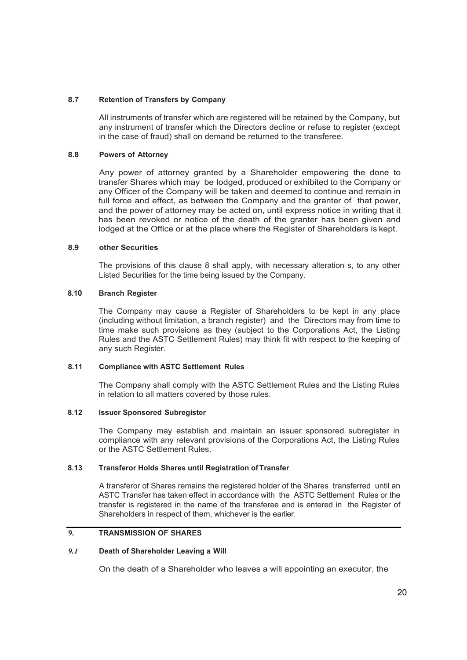#### **8.7 Retention of Transfers by Company**

All instruments of transfer which are registered will be retained by the Company, but any instrument of transfer which the Directors decline or refuse to register (except in the case of fraud) shall on demand be returned to the transferee.

# **8.8 Powers of Attorney**

Any power of attorney granted by a Shareholder empowering the done to transfer Shares which may be lodged, produced or exhibited to the Company or any Officer of the Company will be taken and deemed to continue and remain in full force and effect, as between the Company and the granter of that power, and the power of attorney may be acted on, until express notice in writing that it has been revoked or notice of the death of the granter has been given and lodged at the Office or at the place where the Register of Shareholders is kept.

#### **8.9 other Securities**

The provisions of this clause 8 shall apply, with necessary alteration s, to any other Listed Securities for the time being issued by the Company.

# **8.10 Branch Register**

The Company may cause a Register of Shareholders to be kept in any place (including without limitation, a branch register) and the Directors may from time to time make such provisions as they (subject to the Corporations Act, the Listing Rules and the ASTC Settlement Rules) may think fit with respect to the keeping of any such Register.

# **8.11 Compliance with ASTC Settlement Rules**

The Company shall comply with the ASTC Settlement Rules and the Listing Rules in relation to all matters covered by those rules.

# **8.12 Issuer Sponsored Subregister**

The Company may establish and maintain an issuer sponsored subregister in compliance with any relevant provisions of the Corporations Act, the Listing Rules or the ASTC Settlement Rules.

# **8.13 Transferor Holds Shares until Registration of Transfer**

A transferor of Shares remains the registered holder of the Shares transferred until an ASTC Transfer has taken effect in accordance with the ASTC Settlement Rules or the transfer is registered in the name of the transferee and is entered in the Register of Shareholders in respect of them, whichever is the earlier.

# **9. TRANSMISSION OF SHARES**

#### *9.1* **Death of Shareholder Leaving a Will**

On the death of a Shareholder who leaves a will appointing an executor, the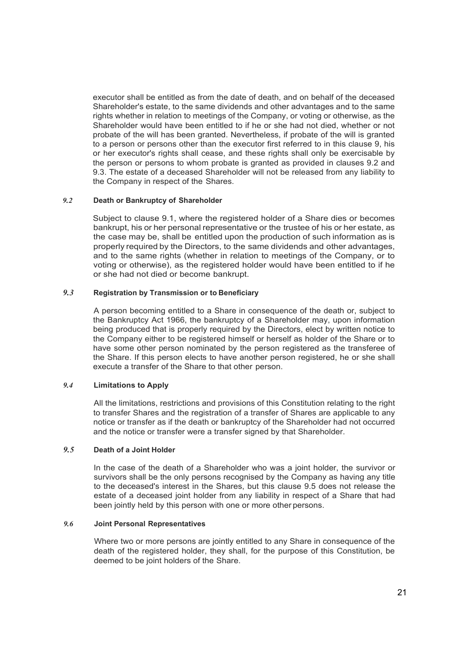executor shall be entitled as from the date of death, and on behalf of the deceased Shareholder's estate, to the same dividends and other advantages and to the same rights whether in relation to meetings of the Company, or voting or otherwise, as the Shareholder would have been entitled to if he or she had not died, whether or not probate of the will has been granted. Nevertheless, if probate of the will is granted to a person or persons other than the executor first referred to in this clause 9, his or her executor's rights shall cease, and these rights shall only be exercisable by the person or persons to whom probate is granted as provided in clauses 9.2 and 9.3. The estate of a deceased Shareholder will not be released from any liability to the Company in respect of the Shares.

#### *9.2* **Death or Bankruptcy of Shareholder**

Subject to clause 9.1, where the registered holder of a Share dies or becomes bankrupt, his or her personal representative or the trustee of his or her estate, as the case may be, shall be entitled upon the production of such information as is properly required by the Directors, to the same dividends and other advantages, and to the same rights (whether in relation to meetings of the Company, or to voting or otherwise), as the registered holder would have been entitled to if he or she had not died or become bankrupt.

# *9.3* **Registration by Transmission or to Beneficiary**

A person becoming entitled to a Share in consequence of the death or, subject to the Bankruptcy Act 1966, the bankruptcy of a Shareholder may, upon information being produced that is properly required by the Directors, elect by written notice to the Company either to be registered himself or herself as holder of the Share or to have some other person nominated by the person registered as the transferee of the Share. If this person elects to have another person registered, he or she shall execute a transfer of the Share to that other person.

#### *9.4* **Limitations to Apply**

All the limitations, restrictions and provisions of this Constitution relating to the right to transfer Shares and the registration of a transfer of Shares are applicable to any notice or transfer as if the death or bankruptcy of the Shareholder had not occurred and the notice or transfer were a transfer signed by that Shareholder.

#### *9.5* **Death of a Joint Holder**

In the case of the death of a Shareholder who was a joint holder, the survivor or survivors shall be the only persons recognised by the Company as having any title to the deceased's interest in the Shares, but this clause 9.5 does not release the estate of a deceased joint holder from any liability in respect of a Share that had been jointly held by this person with one or more other persons.

#### *9.6* **Joint Personal Representatives**

Where two or more persons are jointly entitled to any Share in consequence of the death of the registered holder, they shall, for the purpose of this Constitution, be deemed to be joint holders of the Share.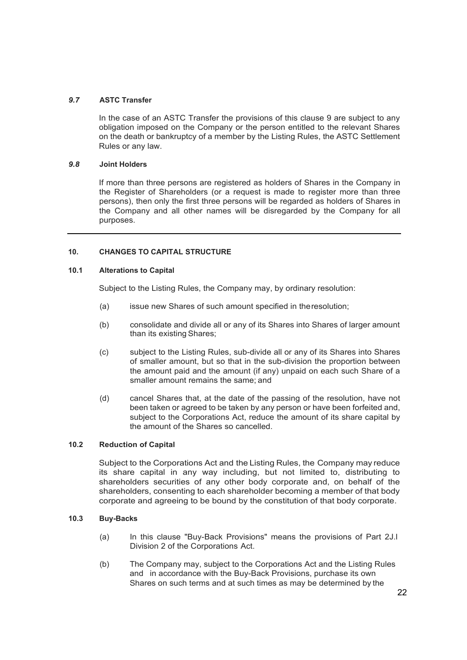#### *9.7* **ASTC Transfer**

In the case of an ASTC Transfer the provisions of this clause 9 are subject to any obligation imposed on the Company or the person entitled to the relevant Shares on the death or bankruptcy of a member by the Listing Rules, the ASTC Settlement Rules or any law.

#### *9.8* **Joint Holders**

If more than three persons are registered as holders of Shares in the Company in the Register of Shareholders (or a request is made to register more than three persons), then only the first three persons will be regarded as holders of Shares in the Company and all other names will be disregarded by the Company for all purposes.

#### **10. CHANGES TO CAPITAL STRUCTURE**

#### **10.1 Alterations to Capital**

Subject to the Listing Rules, the Company may, by ordinary resolution:

- (a) issue new Shares of such amount specified in theresolution;
- (b) consolidate and divide all or any of its Shares into Shares of larger amount than its existing Shares;
- (c) subject to the Listing Rules, sub-divide all or any of its Shares into Shares of smaller amount, but so that in the sub-division the proportion between the amount paid and the amount (if any) unpaid on each such Share of a smaller amount remains the same; and
- (d) cancel Shares that, at the date of the passing of the resolution, have not been taken or agreed to be taken by any person or have been forfeited and, subject to the Corporations Act, reduce the amount of its share capital by the amount of the Shares so cancelled.

# **10.2 Reduction of Capital**

Subject to the Corporations Act and the Listing Rules, the Company may reduce its share capital in any way including, but not limited to, distributing to shareholders securities of any other body corporate and, on behalf of the shareholders, consenting to each shareholder becoming a member of that body corporate and agreeing to be bound by the constitution of that body corporate.

#### **10.3 Buy-Backs**

- (a) In this clause "Buy-Back Provisions" means the provisions of Part 2J.l Division 2 of the Corporations Act.
- (b) The Company may, subject to the Corporations Act and the Listing Rules and in accordance with the Buy-Back Provisions, purchase its own Shares on such terms and at such times as may be determined by the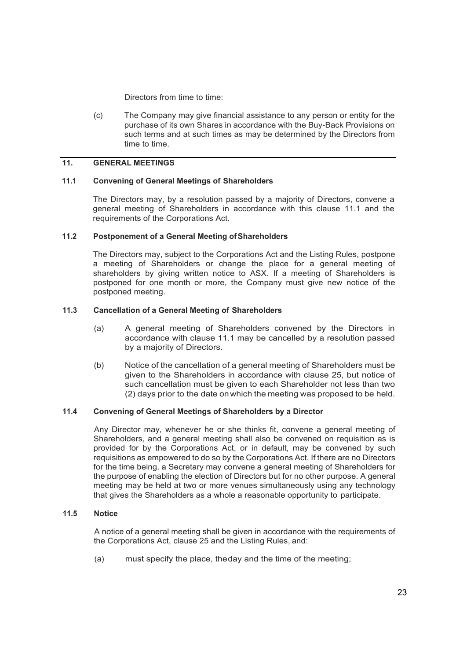Directors from time to time:

(c) The Company may give financial assistance to any person or entity for the purchase of its own Shares in accordance with the Buy-Back Provisions on such terms and at such times as may be determined by the Directors from time to time.

# **11. GENERAL MEETINGS**

### **11.1 Convening of General Meetings of Shareholders**

The Directors may, by a resolution passed by a majority of Directors, convene a general meeting of Shareholders in accordance with this clause 11.1 and the requirements of the Corporations Act.

#### **11.2 Postponement of a General Meeting ofShareholders**

The Directors may, subject to the Corporations Act and the Listing Rules, postpone a meeting of Shareholders or change the place for a general meeting of shareholders by giving written notice to ASX. If a meeting of Shareholders is postponed for one month or more, the Company must give new notice of the postponed meeting.

#### **11.3 Cancellation of a General Meeting of Shareholders**

- (a) A general meeting of Shareholders convened by the Directors in accordance with clause 11.1 may be cancelled by a resolution passed by a majority of Directors.
- (b) Notice of the cancellation of a general meeting of Shareholders must be given to the Shareholders in accordance with clause 25, but notice of such cancellation must be given to each Shareholder not less than two (2) days prior to the date onwhich the meeting was proposed to be held.

# **11.4 Convening of General Meetings of Shareholders by a Director**

Any Director may, whenever he or she thinks fit, convene a general meeting of Shareholders, and a general meeting shall also be convened on requisition as is provided for by the Corporations Act, or in default, may be convened by such requisitions as empowered to do so by the Corporations Act. If there are no Directors for the time being, a Secretary may convene a general meeting of Shareholders for the purpose of enabling the election of Directors but for no other purpose. A general meeting may be held at two or more venues simultaneously using any technology that gives the Shareholders as a whole a reasonable opportunity to participate.

# **11.5 Notice**

A notice of a general meeting shall be given in accordance with the requirements of the Corporations Act, clause 25 and the Listing Rules, and:

(a) must specify the place, theday and the time of the meeting;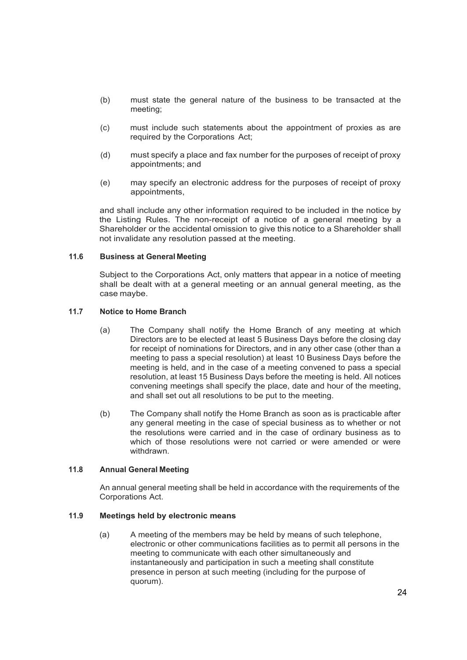- (b) must state the general nature of the business to be transacted at the meeting;
- (c) must include such statements about the appointment of proxies as are required by the Corporations Act;
- (d) must specify a place and fax number for the purposes of receipt of proxy appointments; and
- (e) may specify an electronic address for the purposes of receipt of proxy appointments,

and shall include any other information required to be included in the notice by the Listing Rules. The non-receipt of a notice of a general meeting by a Shareholder or the accidental omission to give this notice to a Shareholder shall not invalidate any resolution passed at the meeting.

#### **11.6 Business at General Meeting**

Subject to the Corporations Act, only matters that appear in a notice of meeting shall be dealt with at a general meeting or an annual general meeting, as the case maybe.

#### **11.7 Notice to Home Branch**

- (a) The Company shall notify the Home Branch of any meeting at which Directors are to be elected at least 5 Business Days before the closing day for receipt of nominations for Directors, and in any other case (other than a meeting to pass a special resolution) at least 10 Business Days before the meeting is held, and in the case of a meeting convened to pass a special resolution, at least 15 Business Days before the meeting is held. All notices convening meetings shall specify the place, date and hour of the meeting, and shall set out all resolutions to be put to the meeting.
- (b) The Company shall notify the Home Branch as soon as is practicable after any general meeting in the case of special business as to whether or not the resolutions were carried and in the case of ordinary business as to which of those resolutions were not carried or were amended or were withdrawn.

#### **11.8 Annual General Meeting**

An annual general meeting shall be held in accordance with the requirements of the Corporations Act.

# **11.9 Meetings held by electronic means**

(a) A meeting of the members may be held by means of such telephone, electronic or other communications facilities as to permit all persons in the meeting to communicate with each other simultaneously and instantaneously and participation in such a meeting shall constitute presence in person at such meeting (including for the purpose of quorum).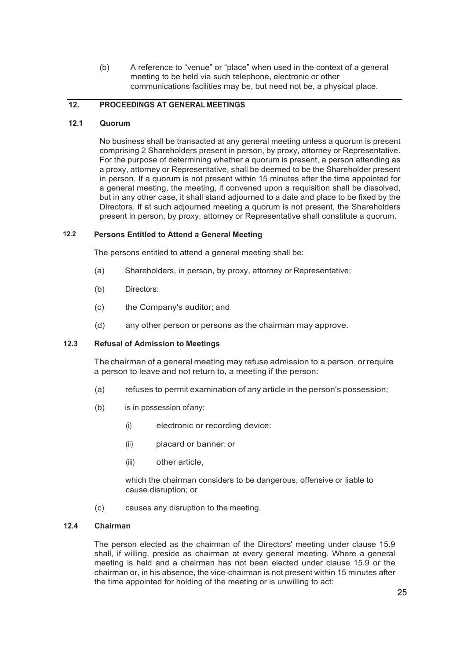(b) A reference to "venue" or "place" when used in the context of a general meeting to be held via such telephone, electronic or other communications facilities may be, but need not be, a physical place.

# **12. PROCEEDINGS AT GENERALMEETINGS**

# **12.1 Quorum**

No business shall be transacted at any general meeting unless a quorum is present comprising 2 Shareholders present in person, by proxy, attorney or Representative. For the purpose of determining whether a quorum is present, a person attending as a proxy, attorney or Representative, shall be deemed to be the Shareholder present in person. If a quorum is not present within 15 minutes after the time appointed for a general meeting, the meeting, if convened upon a requisition shall be dissolved, but in any other case, it shall stand adjourned to a date and place to be fixed by the Directors. If at such adjourned meeting a quorum is not present, the Shareholders present in person, by proxy, attorney or Representative shall constitute a quorum.

# **12.2 Persons Entitled to Attend a General Meeting**

The persons entitled to attend a general meeting shall be:

- (a) Shareholders, in person, by proxy, attorney or Representative;
- (b) Directors:
- (c) the Company's auditor; and
- (d) any other person or persons as the chairman may approve.

# **12.3 Refusal of Admission to Meetings**

The chairman of a general meeting may refuse admission to a person, orrequire a person to leave and not return to, a meeting if the person:

- (a) refuses to permit examination of any article in the person's possession;
- (b) is in possession ofany:
	- (i) electronic or recording device:
	- (ii) placard or banner: or
	- (iii) other article,

which the chairman considers to be dangerous, offensive or liable to cause disruption; or

(c) causes any disruption to the meeting.

#### **12.4 Chairman**

The person elected as the chairman of the Directors' meeting under clause 15.9 shall, if willing, preside as chairman at every general meeting. Where a general meeting is held and a chairman has not been elected under clause 15.9 or the chairman or, in his absence, the vice-chairman is not present within 15 minutes after the time appointed for holding of the meeting or is unwilling to act: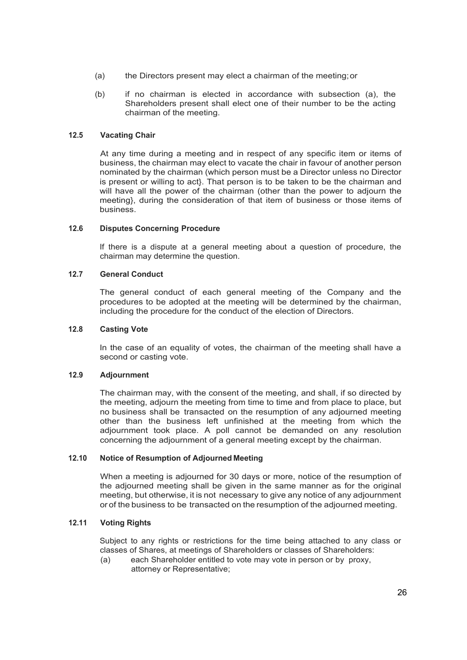- (a) the Directors present may elect a chairman of the meeting;or
- (b) if no chairman is elected in accordance with subsection (a), the Shareholders present shall elect one of their number to be the acting chairman of the meeting.

#### **12.5 Vacating Chair**

At any time during a meeting and in respect of any specific item or items of business, the chairman may elect to vacate the chair in favour of another person nominated by the chairman (which person must be a Director unless no Director is present or willing to act}. That person is to be taken to be the chairman and will have all the power of the chairman (other than the power to adjourn the meeting}, during the consideration of that item of business or those items of business.

#### **12.6 Disputes Concerning Procedure**

If there is a dispute at a general meeting about a question of procedure, the chairman may determine the question.

# **12.7 General Conduct**

The general conduct of each general meeting of the Company and the procedures to be adopted at the meeting will be determined by the chairman, including the procedure for the conduct of the election of Directors.

#### **12.8 Casting Vote**

In the case of an equality of votes, the chairman of the meeting shall have a second or casting vote.

#### **12.9 Adjournment**

The chairman may, with the consent of the meeting, and shall, if so directed by the meeting, adjourn the meeting from time to time and from place to place, but no business shall be transacted on the resumption of any adjourned meeting other than the business left unfinished at the meeting from which the adjournment took place. A poll cannot be demanded on any resolution concerning the adjournment of a general meeting except by the chairman.

#### **12.10 Notice of Resumption of Adjourned Meeting**

When a meeting is adjourned for 30 days or more, notice of the resumption of the adjourned meeting shall be given in the same manner as for the original meeting, but otherwise, it is not necessary to give any notice of any adjournment or of the business to be transacted on the resumption of the adjourned meeting.

# **12.11 Voting Rights**

Subject to any rights or restrictions for the time being attached to any class or classes of Shares, at meetings of Shareholders or classes of Shareholders:

(a) each Shareholder entitled to vote may vote in person or by proxy, attorney or Representative;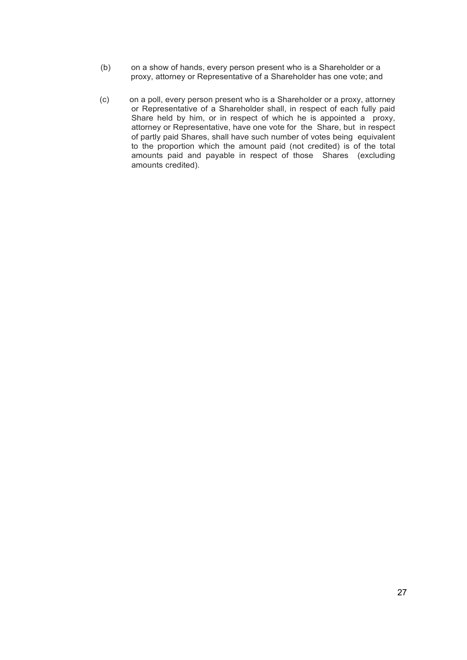- (b) on a show of hands, every person present who is a Shareholder or a proxy, attorney or Representative of a Shareholder has one vote; and
- (c) on a poll, every person present who is a Shareholder or a proxy, attorney or Representative of a Shareholder shall, in respect of each fully paid Share held by him, or in respect of which he is appointed a proxy, attorney or Representative, have one vote for the Share, but in respect of partly paid Shares, shall have such number of votes being equivalent to the proportion which the amount paid (not credited) is of the total amounts paid and payable in respect of those Shares (excluding amounts credited).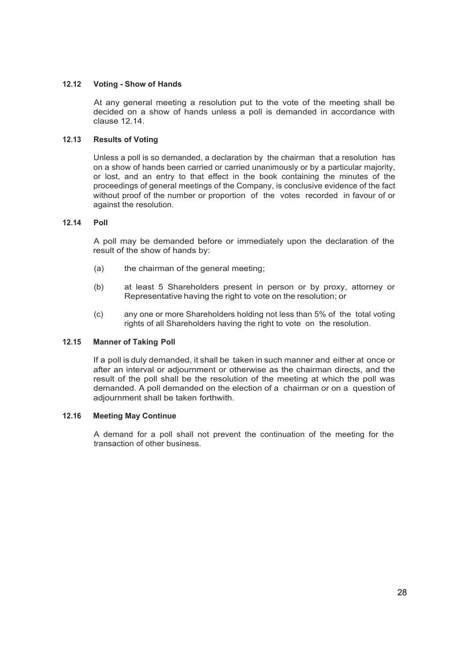# **12.12 Voting - Show of Hands**

At any general meeting a resolution put to the vote of the meeting shall be decided on a show of hands unless a poll is demanded in accordance with clause 12.14.

# **12.13 Results of Voting**

Unless a poll is so demanded, a declaration by the chairman that a resolution has on a show of hands been carried or carried unanimously or by a particular majority, or lost, and an entry to that effect in the book containing the minutes of the proceedings of general meetings of the Company, is conclusive evidence of the fact without proof of the number or proportion of the votes recorded in favour of or against the resolution.

# **12.14 Poll**

A poll may be demanded before or immediately upon the declaration of the result of the show of hands by:

- (a) the chairman of the general meeting;
- (b) at least 5 Shareholders present in person or by proxy, attorney or Representative having the right to vote on the resolution; or
- (c) any one or more Shareholders holding not less than 5% of the total voting rights of all Shareholders having the right to vote on the resolution.

# **12.15 Manner of Taking Poll**

If a poll is duly demanded, it shall be taken in such manner and either at once or after an interval or adjournment or otherwise as the chairman directs, and the result of the poll shall be the resolution of the meeting at which the poll was demanded. A poll demanded on the election of a chairman or on a question of adjournment shall be taken forthwith.

# **12.16 Meeting May Continue**

A demand for a poll shall not prevent the continuation of the meeting for the transaction of other business.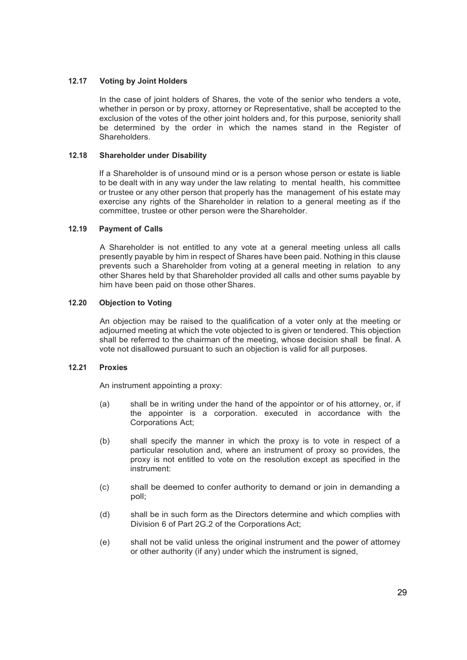# **12.17 Voting by Joint Holders**

In the case of joint holders of Shares, the vote of the senior who tenders a vote, whether in person or by proxy, attorney or Representative, shall be accepted to the exclusion of the votes of the other joint holders and, for this purpose, seniority shall be determined by the order in which the names stand in the Register of Shareholders.

#### **12.18 Shareholder under Disability**

If a Shareholder is of unsound mind or is a person whose person or estate is liable to be dealt with in any way under the law relating to mental health, his committee or trustee or any other person that properly has the management of his estate may exercise any rights of the Shareholder in relation to a general meeting as if the committee, trustee or other person were the Shareholder.

#### **12.19 Payment of Calls**

A Shareholder is not entitled to any vote at a general meeting unless all calls presently payable by him in respect of Shares have been paid. Nothing in this clause prevents such a Shareholder from voting at a general meeting in relation to any other Shares held by that Shareholder provided all calls and other sums payable by him have been paid on those other Shares.

# **12.20 Objection to Voting**

An objection may be raised to the qualification of a voter only at the meeting or adjourned meeting at which the vote objected to is given or tendered. This objection shall be referred to the chairman of the meeting, whose decision shall be final. A vote not disallowed pursuant to such an objection is valid for all purposes.

#### **12.21 Proxies**

An instrument appointing a proxy:

- (a) shall be in writing under the hand of the appointor or of his attorney, or, if the appointer is a corporation. executed in accordance with the Corporations Act;
- (b) shall specify the manner in which the proxy is to vote in respect of a particular resolution and, where an instrument of proxy so provides, the proxy is not entitled to vote on the resolution except as specified in the instrument:
- (c) shall be deemed to confer authority to demand or join in demanding a poll;
- (d) shall be in such form as the Directors determine and which complies with Division 6 of Part 2G.2 of the Corporations Act;
- (e) shall not be valid unless the original instrument and the power of attorney or other authority (if any) under which the instrument is signed,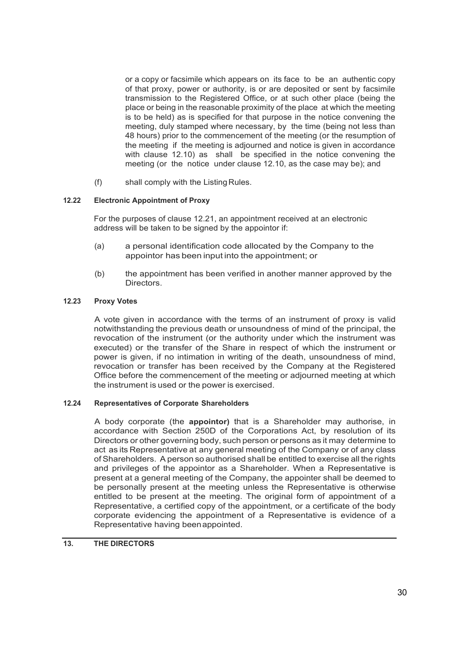or a copy or facsimile which appears on its face to be an authentic copy of that proxy, power or authority, is or are deposited or sent by facsimile transmission to the Registered Office, or at such other place (being the place or being in the reasonable proximity of the place at which the meeting is to be held) as is specified for that purpose in the notice convening the meeting, duly stamped where necessary, by the time (being not less than 48 hours) prior to the commencement of the meeting (or the resumption of the meeting if the meeting is adjourned and notice is given in accordance with clause 12.10) as shall be specified in the notice convening the meeting (or the notice under clause 12.10, as the case may be); and

(f) shall comply with the Listing Rules.

#### **12.22 Electronic Appointment of Proxy**

For the purposes of clause 12.21, an appointment received at an electronic address will be taken to be signed by the appointor if:

- (a) a personal identification code allocated by the Company to the appointor has been input into the appointment; or
- (b) the appointment has been verified in another manner approved by the Directors.

#### **12.23 Proxy Votes**

A vote given in accordance with the terms of an instrument of proxy is valid notwithstanding the previous death or unsoundness of mind of the principal, the revocation of the instrument (or the authority under which the instrument was executed) or the transfer of the Share in respect of which the instrument or power is given, if no intimation in writing of the death, unsoundness of mind, revocation or transfer has been received by the Company at the Registered Office before the commencement of the meeting or adjourned meeting at which the instrument is used or the power is exercised.

#### **12.24 Representatives of Corporate Shareholders**

A body corporate (the **appointor)** that is a Shareholder may authorise, in accordance with Section 250D of the Corporations Act, by resolution of its Directors or other governing body, such person or persons as it may determine to act as its Representative at any general meeting of the Company or of any class of Shareholders. A person so authorised shall be entitled to exercise all the rights and privileges of the appointor as a Shareholder. When a Representative is present at a general meeting of the Company, the appointer shall be deemed to be personally present at the meeting unless the Representative is otherwise entitled to be present at the meeting. The original form of appointment of a Representative, a certified copy of the appointment, or a certificate of the body corporate evidencing the appointment of a Representative is evidence of a Representative having beenappointed.

#### **13. THE DIRECTORS**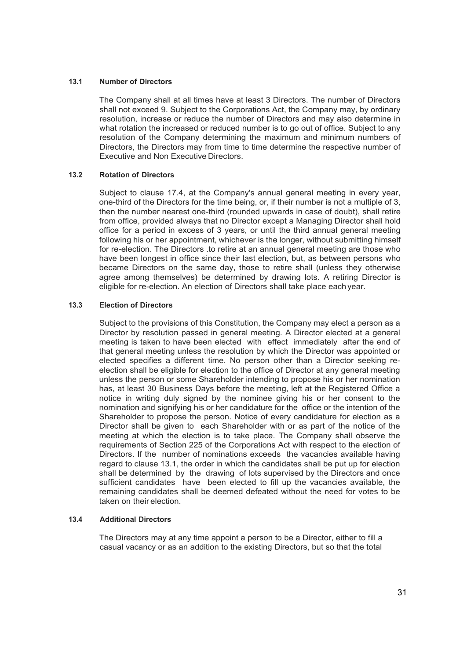#### **13.1 Number of Directors**

The Company shall at all times have at least 3 Directors. The number of Directors shall not exceed 9. Subject to the Corporations Act, the Company may, by ordinary resolution, increase or reduce the number of Directors and may also determine in what rotation the increased or reduced number is to go out of office. Subject to any resolution of the Company determining the maximum and minimum numbers of Directors, the Directors may from time to time determine the respective number of Executive and Non Executive Directors.

# **13.2 Rotation of Directors**

Subject to clause 17.4, at the Company's annual general meeting in every year, one-third of the Directors for the time being, or, if their number is not a multiple of 3, then the number nearest one-third (rounded upwards in case of doubt), shall retire from office, provided always that no Director except a Managing Director shall hold office for a period in excess of 3 years, or until the third annual general meeting following his or her appointment, whichever is the longer, without submitting himself for re-election. The Directors .to retire at an annual general meeting are those who have been longest in office since their last election, but, as between persons who became Directors on the same day, those to retire shall (unless they otherwise agree among themselves) be determined by drawing lots. A retiring Director is eligible for re-election. An election of Directors shall take place each year.

# **13.3 Election of Directors**

Subject to the provisions of this Constitution, the Company may elect a person as a Director by resolution passed in general meeting. A Director elected at a general meeting is taken to have been elected with effect immediately after the end of that general meeting unless the resolution by which the Director was appointed or elected specifies a different time. No person other than a Director seeking reelection shall be eligible for election to the office of Director at any general meeting unless the person or some Shareholder intending to propose his or her nomination has, at least 30 Business Days before the meeting, left at the Registered Office a notice in writing duly signed by the nominee giving his or her consent to the nomination and signifying his or her candidature for the office or the intention of the Shareholder to propose the person. Notice of every candidature for election as a Director shall be given to each Shareholder with or as part of the notice of the meeting at which the election is to take place. The Company shall observe the requirements of Section 225 of the Corporations Act with respect to the election of Directors. If the number of nominations exceeds the vacancies available having regard to clause 13.1, the order in which the candidates shall be put up for election shall be determined by the drawing of lots supervised by the Directors and once sufficient candidates have been elected to fill up the vacancies available, the remaining candidates shall be deemed defeated without the need for votes to be taken on their election.

#### **13.4 Additional Directors**

The Directors may at any time appoint a person to be a Director, either to fill a casual vacancy or as an addition to the existing Directors, but so that the total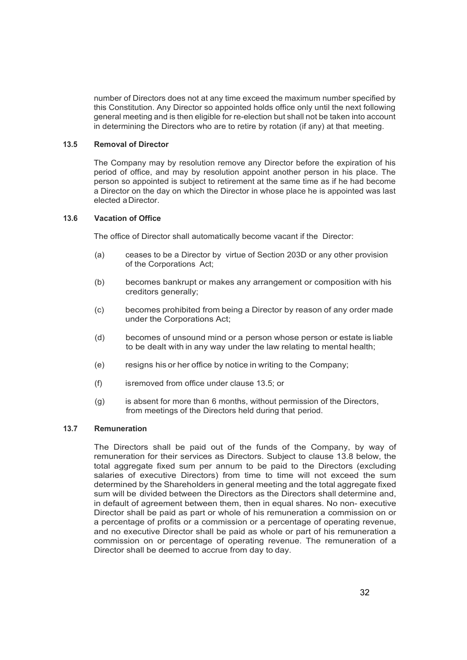number of Directors does not at any time exceed the maximum number specified by this Constitution. Any Director so appointed holds office only until the next following general meeting and is then eligible for re-election but shall not be taken into account in determining the Directors who are to retire by rotation (if any) at that meeting.

#### **13.5 Removal of Director**

The Company may by resolution remove any Director before the expiration of his period of office, and may by resolution appoint another person in his place. The person so appointed is subject to retirement at the same time as if he had become a Director on the day on which the Director in whose place he is appointed was last elected aDirector.

#### **13.6 Vacation of Office**

The office of Director shall automatically become vacant if the Director:

- (a) ceases to be a Director by virtue of Section 203D or any other provision of the Corporations Act;
- (b) becomes bankrupt or makes any arrangement or composition with his creditors generally;
- (c) becomes prohibited from being a Director by reason of any order made under the Corporations Act;
- (d) becomes of unsound mind or a person whose person or estate is liable to be dealt with in any way under the law relating to mental health;
- (e) resigns his or her office by notice in writing to the Company;
- (f) isremoved from office under clause 13.5; or
- (g) is absent for more than 6 months, without permission of the Directors, from meetings of the Directors held during that period.

# **13.7 Remuneration**

The Directors shall be paid out of the funds of the Company, by way of remuneration for their services as Directors. Subject to clause 13.8 below, the total aggregate fixed sum per annum to be paid to the Directors (excluding salaries of executive Directors) from time to time will not exceed the sum determined by the Shareholders in general meeting and the total aggregate fixed sum will be divided between the Directors as the Directors shall determine and, in default of agreement between them, then in equal shares. No non- executive Director shall be paid as part or whole of his remuneration a commission on or a percentage of profits or a commission or a percentage of operating revenue, and no executive Director shall be paid as whole or part of his remuneration a commission on or percentage of operating revenue. The remuneration of a Director shall be deemed to accrue from day to day.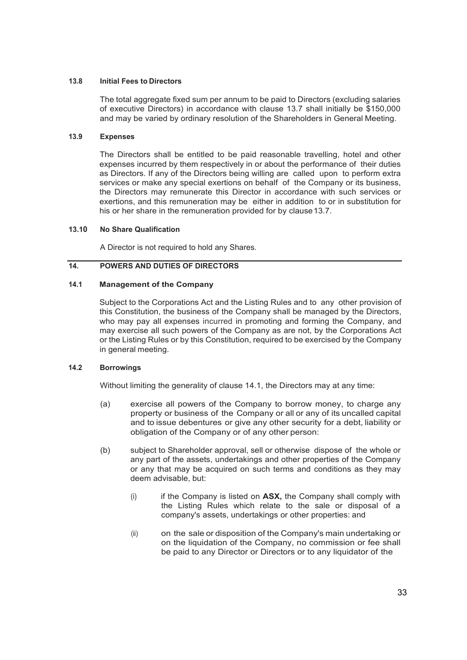#### **13.8 Initial Fees to Directors**

The total aggregate fixed sum per annum to be paid to Directors (excluding salaries of executive Directors) in accordance with clause 13.7 shall initially be \$150,000 and may be varied by ordinary resolution of the Shareholders in General Meeting.

#### **13.9 Expenses**

The Directors shall be entitled to be paid reasonable travelling, hotel and other expenses incurred by them respectively in or about the performance of their duties as Directors. If any of the Directors being willing are called upon to perform extra services or make any special exertions on behalf of the Company or its business, the Directors may remunerate this Director in accordance with such services or exertions, and this remuneration may be either in addition to or in substitution for his or her share in the remuneration provided for by clause13.7.

#### **13.10 No Share Qualification**

A Director is not required to hold any Shares.

# **14. POWERS AND DUTIES OF DIRECTORS**

# **14.1 Management of the Company**

Subject to the Corporations Act and the Listing Rules and to any other provision of this Constitution, the business of the Company shall be managed by the Directors, who may pay all expenses incurred in promoting and forming the Company, and may exercise all such powers of the Company as are not, by the Corporations Act or the Listing Rules or by this Constitution, required to be exercised by the Company in general meeting.

#### **14.2 Borrowings**

Without limiting the generality of clause 14.1, the Directors may at any time:

- (a) exercise all powers of the Company to borrow money, to charge any property or business of the Company or all or any of its uncalled capital and to issue debentures or give any other security for a debt, liability or obligation of the Company or of any other person:
- (b) subject to Shareholder approval, sell or otherwise dispose of the whole or any part of the assets, undertakings and other properties of the Company or any that may be acquired on such terms and conditions as they may deem advisable, but:
	- (i) if the Company is listed on **ASX,** the Company shall comply with the Listing Rules which relate to the sale or disposal of a company's assets, undertakings or other properties: and
	- (ii) on the sale or disposition of the Company's main undertaking or on the liquidation of the Company, no commission or fee shall be paid to any Director or Directors or to any liquidator of the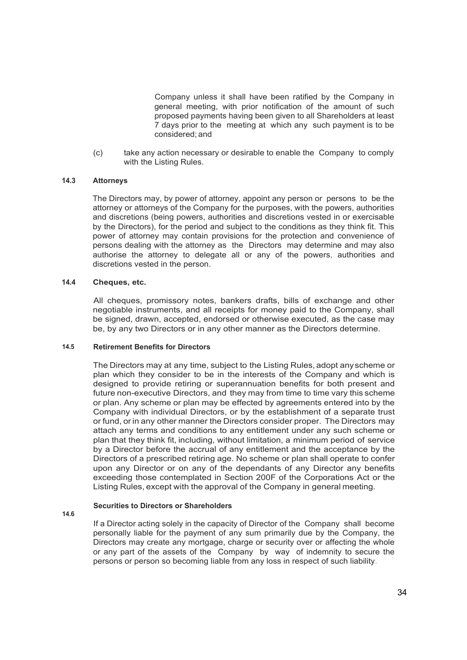Company unless it shall have been ratified by the Company in general meeting, with prior notification of the amount of such proposed payments having been given to all Shareholders at least 7 days prior to the meeting at which any such payment is to be considered; and

(c) take any action necessary or desirable to enable the Company to comply with the Listing Rules.

#### **14.3 Attorneys**

The Directors may, by power of attorney, appoint any person or persons to be the attorney or attorneys of the Company for the purposes, with the powers, authorities and discretions (being powers, authorities and discretions vested in or exercisable by the Directors), for the period and subject to the conditions as they think fit. This power of attorney may contain provisions for the protection and convenience of persons dealing with the attorney as the Directors may determine and may also authorise the attorney to delegate all or any of the powers, authorities and discretions vested in the person.

#### **14.4 Cheques, etc.**

All cheques, promissory notes, bankers drafts, bills of exchange and other negotiable instruments, and all receipts for money paid to the Company, shall be signed, drawn, accepted, endorsed or otherwise executed, as the case may be, by any two Directors or in any other manner as the Directors determine.

#### **14.5 Retirement Benefits for Directors**

The Directors may at any time, subject to the Listing Rules, adopt anyscheme or plan which they consider to be in the interests of the Company and which is designed to provide retiring or superannuation benefits for both present and future non-executive Directors, and they may from time to time vary this scheme or plan. Any scheme or plan may be effected by agreements entered into by the Company with individual Directors, or by the establishment of a separate trust or fund, orin any other manner the Directors consider proper. The Directors may attach any terms and conditions to any entitlement under any such scheme or plan that they think fit, including, without limitation, a minimum period of service by a Director before the accrual of any entitlement and the acceptance by the Directors of a prescribed retiring age. No scheme or plan shall operate to confer upon any Director or on any of the dependants of any Director any benefits exceeding those contemplated in Section 200F of the Corporations Act or the Listing Rules, except with the approval of the Company in general meeting.

#### **Securities to Directors or Shareholders**

**14.6**

If a Director acting solely in the capacity of Director of the Company shall become personally liable for the payment of any sum primarily due by the Company, the Directors may create any mortgage, charge or security over or affecting the whole or any part of the assets of the Company by way of indemnity to secure the persons or person so becoming liable from any loss in respect of such liability.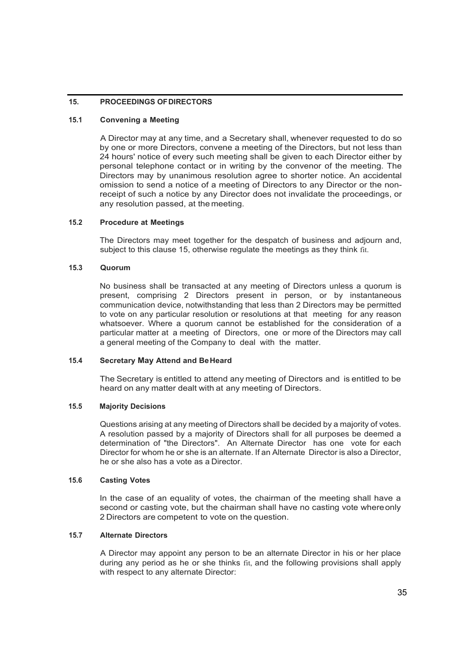# **15. PROCEEDINGS OFDIRECTORS**

#### **15.1 Convening a Meeting**

A Director may at any time, and a Secretary shall, whenever requested to do so by one or more Directors, convene a meeting of the Directors, but not less than 24 hours' notice of every such meeting shall be given to each Director either by personal telephone contact or in writing by the convenor of the meeting. The Directors may by unanimous resolution agree to shorter notice. An accidental omission to send a notice of a meeting of Directors to any Director or the nonreceipt of such a notice by any Director does not invalidate the proceedings, or any resolution passed, at the meeting.

#### **15.2 Procedure at Meetings**

The Directors may meet together for the despatch of business and adjourn and, subject to this clause 15, otherwise regulate the meetings as they think fit.

#### **15.3 Quorum**

No business shall be transacted at any meeting of Directors unless a quorum is present, comprising 2 Directors present in person, or by instantaneous communication device, notwithstanding that less than 2 Directors may be permitted to vote on any particular resolution or resolutions at that meeting for any reason whatsoever. Where a quorum cannot be established for the consideration of a particular matter at a meeting of Directors, one or more of the Directors may call a general meeting of the Company to deal with the matter.

# **15.4 Secretary May Attend and BeHeard**

The Secretary is entitled to attend any meeting of Directors and is entitled to be heard on any matter dealt with at any meeting of Directors.

#### **15.5 Majority Decisions**

Questions arising at any meeting of Directors shall be decided by a majority of votes. A resolution passed by a majority of Directors shall for all purposes be deemed a determination of "the Directors". An Alternate Director has one vote for each Director for whom he or she is an alternate. If an Alternate Director is also a Director, he or she also has a vote as a Director.

#### **15.6 Casting Votes**

In the case of an equality of votes, the chairman of the meeting shall have a second or casting vote, but the chairman shall have no casting vote whereonly 2 Directors are competent to vote on the question.

#### **15.7 Alternate Directors**

A Director may appoint any person to be an alternate Director in his or her place during any period as he or she thinks fit, and the following provisions shall apply with respect to any alternate Director: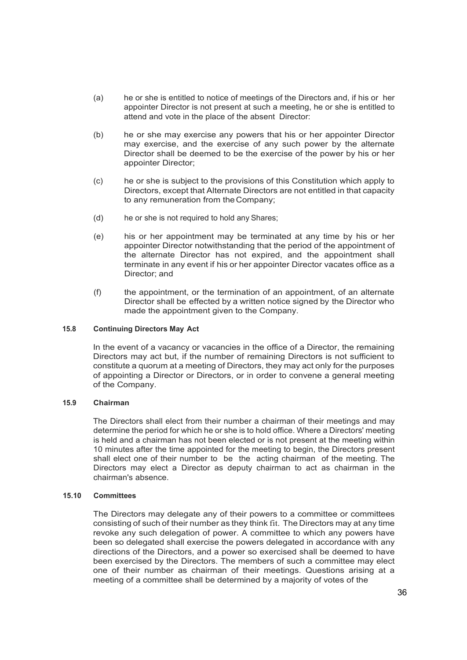- (a) he or she is entitled to notice of meetings of the Directors and, if his or her appointer Director is not present at such a meeting, he or she is entitled to attend and vote in the place of the absent Director:
- (b) he or she may exercise any powers that his or her appointer Director may exercise, and the exercise of any such power by the alternate Director shall be deemed to be the exercise of the power by his or her appointer Director;
- (c) he or she is subject to the provisions of this Constitution which apply to Directors, except that Alternate Directors are not entitled in that capacity to any remuneration from theCompany;
- (d) he or she is not required to hold any Shares;
- (e) his or her appointment may be terminated at any time by his or her appointer Director notwithstanding that the period of the appointment of the alternate Director has not expired, and the appointment shall terminate in any event if his or her appointer Director vacates office as a Director; and
- (f) the appointment, or the termination of an appointment, of an alternate Director shall be effected by a written notice signed by the Director who made the appointment given to the Company.

#### **15.8 Continuing Directors May Act**

In the event of a vacancy or vacancies in the office of a Director, the remaining Directors may act but, if the number of remaining Directors is not sufficient to constitute a quorum at a meeting of Directors, they may act only for the purposes of appointing a Director or Directors, or in order to convene a general meeting of the Company.

#### **15.9 Chairman**

The Directors shall elect from their number a chairman of their meetings and may determine the period for which he or she is to hold office. Where a Directors' meeting is held and a chairman has not been elected or is not present at the meeting within 10 minutes after the time appointed for the meeting to begin, the Directors present shall elect one of their number to be the acting chairman of the meeting. The Directors may elect a Director as deputy chairman to act as chairman in the chairman's absence.

#### **15.10 Committees**

The Directors may delegate any of their powers to a committee or committees consisting of such of their number as they think fit. The Directors may at any time revoke any such delegation of power. A committee to which any powers have been so delegated shall exercise the powers delegated in accordance with any directions of the Directors, and a power so exercised shall be deemed to have been exercised by the Directors. The members of such a committee may elect one of their number as chairman of their meetings. Questions arising at a meeting of a committee shall be determined by a majority of votes of the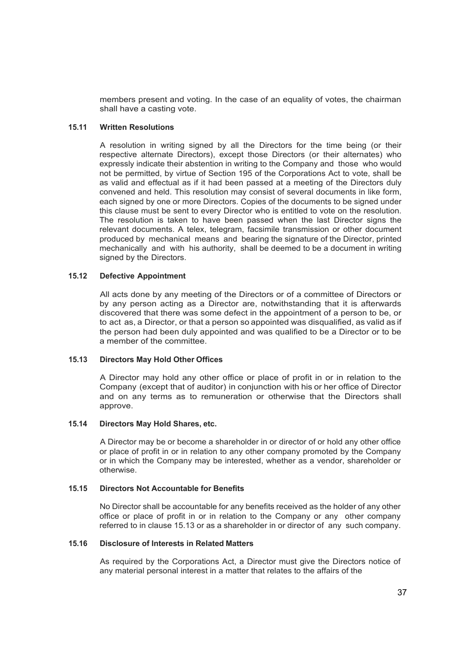members present and voting. In the case of an equality of votes, the chairman shall have a casting vote.

#### **15.11 Written Resolutions**

A resolution in writing signed by all the Directors for the time being (or their respective alternate Directors), except those Directors (or their alternates) who expressly indicate their abstention in writing to the Company and those who would not be permitted, by virtue of Section 195 of the Corporations Act to vote, shall be as valid and effectual as if it had been passed at a meeting of the Directors duly convened and held. This resolution may consist of several documents in like form, each signed by one or more Directors. Copies of the documents to be signed under this clause must be sent to every Director who is entitled to vote on the resolution. The resolution is taken to have been passed when the last Director signs the relevant documents. A telex, telegram, facsimile transmission or other document produced by mechanical means and bearing the signature of the Director, printed mechanically and with his authority, shall be deemed to be a document in writing signed by the Directors.

# **15.12 Defective Appointment**

All acts done by any meeting of the Directors or of a committee of Directors or by any person acting as a Director are, notwithstanding that it is afterwards discovered that there was some defect in the appointment of a person to be, or to act as, a Director, or that a person so appointed was disqualified, as valid as if the person had been duly appointed and was qualified to be a Director or to be a member of the committee.

#### **15.13 Directors May Hold Other Offices**

A Director may hold any other office or place of profit in or in relation to the Company (except that of auditor) in conjunction with his or her office of Director and on any terms as to remuneration or otherwise that the Directors shall approve.

### **15.14 Directors May Hold Shares, etc.**

A Director may be or become a shareholder in or director of or hold any other office or place of profit in or in relation to any other company promoted by the Company or in which the Company may be interested, whether as a vendor, shareholder or otherwise.

# **15.15 Directors Not Accountable for Benefits**

No Director shall be accountable for any benefits received as the holder of any other office or place of profit in or in relation to the Company or any other company referred to in clause 15.13 or as a shareholder in or director of any such company.

#### **15.16 Disclosure of Interests in Related Matters**

As required by the Corporations Act, a Director must give the Directors notice of any material personal interest in a matter that relates to the affairs of the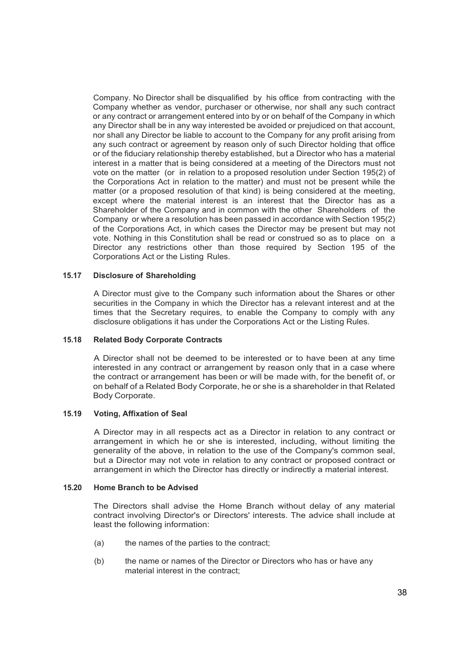Company. No Director shall be disqualified by his office from contracting with the Company whether as vendor, purchaser or otherwise, nor shall any such contract or any contract or arrangement entered into by or on behalf of the Company in which any Director shall be in any way interested be avoided or prejudiced on that account, nor shall any Director be liable to account to the Company for any profit arising from any such contract or agreement by reason only of such Director holding that office or of the fiduciary relationship thereby established, but a Director who has a material interest in a matter that is being considered at a meeting of the Directors must not vote on the matter (or in relation to a proposed resolution under Section 195(2) of the Corporations Act in relation to the matter) and must not be present while the matter (or a proposed resolution of that kind) is being considered at the meeting, except where the material interest is an interest that the Director has as a Shareholder of the Company and in common with the other Shareholders of the Company or where a resolution has been passed in accordance with Section 195(2) of the Corporations Act, in which cases the Director may be present but may not vote. Nothing in this Constitution shall be read or construed so as to place on a Director any restrictions other than those required by Section 195 of the Corporations Act or the Listing Rules.

# **15.17 Disclosure of Shareholding**

A Director must give to the Company such information about the Shares or other securities in the Company in which the Director has a relevant interest and at the times that the Secretary requires, to enable the Company to comply with any disclosure obligations it has under the Corporations Act or the Listing Rules.

#### **15.18 Related Body Corporate Contracts**

A Director shall not be deemed to be interested or to have been at any time interested in any contract or arrangement by reason only that in a case where the contract or arrangement has been or will be made with, for the benefit of, or on behalf of a Related Body Corporate, he or she is a shareholder in that Related Body Corporate.

#### **15.19 Voting, Affixation of Seal**

A Director may in all respects act as a Director in relation to any contract or arrangement in which he or she is interested, including, without limiting the generality of the above, in relation to the use of the Company's common seal, but a Director may not vote in relation to any contract or proposed contract or arrangement in which the Director has directly or indirectly a material interest.

### **15.20 Home Branch to be Advised**

The Directors shall advise the Home Branch without delay of any material contract involving Director's or Directors' interests. The advice shall include at least the following information:

- (a) the names of the parties to the contract;
- (b) the name or names of the Director or Directors who has or have any material interest in the contract;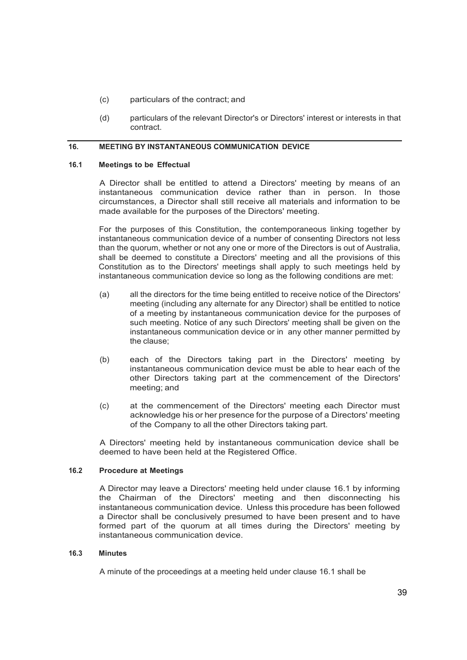- (c) particulars of the contract; and
- (d) particulars of the relevant Director's or Directors' interest or interests in that contract.

# **16. MEETING BY INSTANTANEOUS COMMUNICATION DEVICE**

#### **16.1 Meetings to be Effectual**

A Director shall be entitled to attend a Directors' meeting by means of an instantaneous communication device rather than in person. In those circumstances, a Director shall still receive all materials and information to be made available for the purposes of the Directors' meeting.

For the purposes of this Constitution, the contemporaneous linking together by instantaneous communication device of a number of consenting Directors not less than the quorum, whether or not any one or more of the Directors is out of Australia, shall be deemed to constitute a Directors' meeting and all the provisions of this Constitution as to the Directors' meetings shall apply to such meetings held by instantaneous communication device so long as the following conditions are met:

- (a) all the directors for the time being entitled to receive notice of the Directors' meeting (including any alternate for any Director) shall be entitled to notice of a meeting by instantaneous communication device for the purposes of such meeting. Notice of any such Directors' meeting shall be given on the instantaneous communication device or in any other manner permitted by the clause;
- (b) each of the Directors taking part in the Directors' meeting by instantaneous communication device must be able to hear each of the other Directors taking part at the commencement of the Directors' meeting; and
- (c) at the commencement of the Directors' meeting each Director must acknowledge his or her presence for the purpose of a Directors' meeting of the Company to all the other Directors taking part.

A Directors' meeting held by instantaneous communication device shall be deemed to have been held at the Registered Office.

# **16.2 Procedure at Meetings**

A Director may leave a Directors' meeting held under clause 16.1 by informing the Chairman of the Directors' meeting and then disconnecting his instantaneous communication device. Unless this procedure has been followed a Director shall be conclusively presumed to have been present and to have formed part of the quorum at all times during the Directors' meeting by instantaneous communication device.

#### **16.3 Minutes**

A minute of the proceedings at a meeting held under clause 16.1 shall be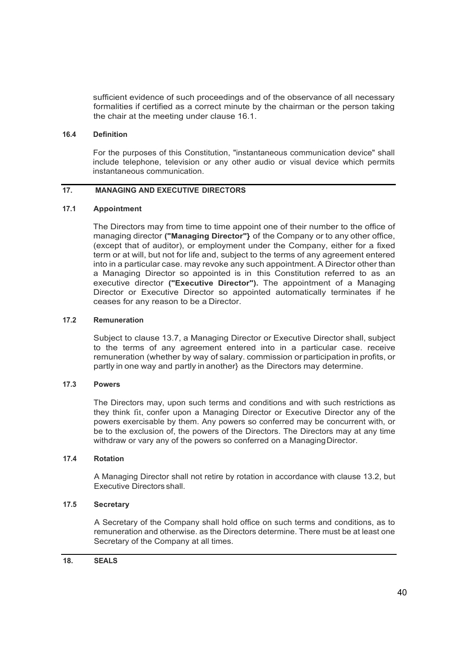sufficient evidence of such proceedings and of the observance of all necessary formalities if certified as a correct minute by the chairman or the person taking the chair at the meeting under clause 16.1.

#### **16.4 Definition**

For the purposes of this Constitution, "instantaneous communication device" shall include telephone, television or any other audio or visual device which permits instantaneous communication.

# **17. MANAGING AND EXECUTIVE DIRECTORS**

# **17.1 Appointment**

The Directors may from time to time appoint one of their number to the office of managing director **("Managing Director"}** of the Company or to any other office, (except that of auditor), or employment under the Company, either for a fixed term or at will, but not for life and, subject to the terms of any agreement entered into in a particular case. may revoke any such appointment. A Director other than a Managing Director so appointed is in this Constitution referred to as an executive director **("Executive Director").** The appointment of a Managing Director or Executive Director so appointed automatically terminates if he ceases for any reason to be a Director.

# **17.2 Remuneration**

Subject to clause 13.7, a Managing Director or Executive Director shall, subject to the terms of any agreement entered into in a particular case. receive remuneration (whether by way of salary. commission or participation in profits, or partly in one way and partly in another} as the Directors may determine.

# **17.3 Powers**

The Directors may, upon such terms and conditions and with such restrictions as they think fit, confer upon a Managing Director or Executive Director any of the powers exercisable by them. Any powers so conferred may be concurrent with, or be to the exclusion of, the powers of the Directors. The Directors may at any time withdraw or vary any of the powers so conferred on a Managing Director.

# **17.4 Rotation**

A Managing Director shall not retire by rotation in accordance with clause 13.2, but Executive Directors shall.

# **17.5 Secretary**

A Secretary of the Company shall hold office on such terms and conditions, as to remuneration and otherwise. as the Directors determine. There must be at least one Secretary of the Company at all times.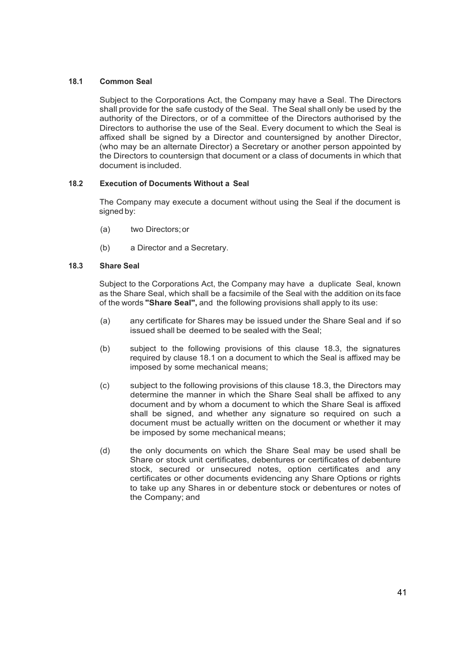# **18.1 Common Seal**

Subject to the Corporations Act, the Company may have a Seal. The Directors shall provide for the safe custody of the Seal. The Seal shall only be used by the authority of the Directors, or of a committee of the Directors authorised by the Directors to authorise the use of the Seal. Every document to which the Seal is affixed shall be signed by a Director and countersigned by another Director, (who may be an alternate Director) a Secretary or another person appointed by the Directors to countersign that document or a class of documents in which that document is included.

# **18.2 Execution of Documents Without a Seal**

The Company may execute a document without using the Seal if the document is signed by:

- (a) two Directors;or
- (b) a Director and a Secretary.

# **18.3 Share Seal**

Subject to the Corporations Act, the Company may have a duplicate Seal, known as the Share Seal, which shall be a facsimile of the Seal with the addition on its face of the words **"Share Seal'',** and the following provisions shall apply to its use:

- (a) any certificate for Shares may be issued under the Share Seal and if so issued shall be deemed to be sealed with the Seal;
- (b) subject to the following provisions of this clause 18.3, the signatures required by clause 18.1 on a document to which the Seal is affixed may be imposed by some mechanical means;
- (c) subject to the following provisions of this clause 18.3, the Directors may determine the manner in which the Share Seal shall be affixed to any document and by whom a document to which the Share Seal is affixed shall be signed, and whether any signature so required on such a document must be actually written on the document or whether it may be imposed by some mechanical means;
- (d) the only documents on which the Share Seal may be used shall be Share or stock unit certificates, debentures or certificates of debenture stock, secured or unsecured notes, option certificates and any certificates or other documents evidencing any Share Options or rights to take up any Shares in or debenture stock or debentures or notes of the Company; and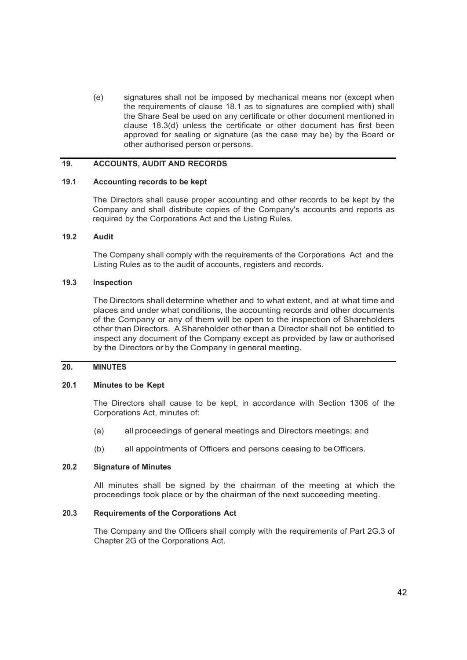(e) signatures shall not be imposed by mechanical means nor (except when the requirements of clause 18.1 as to signatures are complied with) shall the Share Seal be used on any certificate or other document mentioned in clause 18.3(d) unless the certificate or other document has first been approved for sealing or signature (as the case may be) by the Board or other authorised person orpersons.

#### **19. ACCOUNTS, AUDIT AND RECORDS**

#### **19.1 Accounting records to be kept**

The Directors shall cause proper accounting and other records to be kept by the Company and shall distribute copies of the Company's accounts and reports as required by the Corporations Act and the Listing Rules.

#### **19.2 Audit**

The Company shall comply with the requirements of the Corporations Act and the Listing Rules as to the audit of accounts, registers and records.

#### **19.3 Inspection**

The Directors shall determine whether and to what extent, and at what time and places and under what conditions, the accounting records and other documents of the Company or any of them will be open to the inspection of Shareholders other than Directors. A Shareholder other than a Director shall not be entitled to inspect any document of the Company except as provided by law or authorised by the Directors or by the Company in general meeting.

# **20. MINUTES**

#### **20.1 Minutes to be Kept**

The Directors shall cause to be kept, in accordance with Section 1306 of the Corporations Act, minutes of:

- (a) all proceedings of general meetings and Directors meetings; and
- (b) all appointments of Officers and persons ceasing to beOfficers.

#### **20.2 Signature of Minutes**

All minutes shall be signed by the chairman of the meeting at which the proceedings took place or by the chairman of the next succeeding meeting.

# **20.3 Requirements of the Corporations Act**

The Company and the Officers shall comply with the requirements of Part 2G.3 of Chapter 2G of the Corporations Act.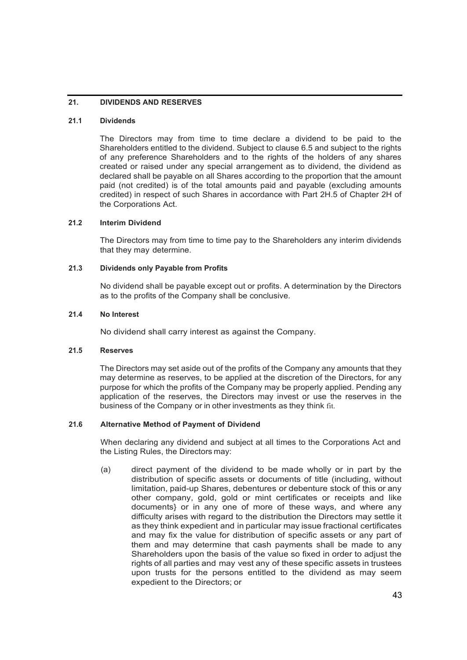# **21. DIVIDENDS AND RESERVES**

#### **21.1 Dividends**

The Directors may from time to time declare a dividend to be paid to the Shareholders entitled to the dividend. Subject to clause 6.5 and subject to the rights of any preference Shareholders and to the rights of the holders of any shares created or raised under any special arrangement as to dividend, the dividend as declared shall be payable on all Shares according to the proportion that the amount paid (not credited) is of the total amounts paid and payable (excluding amounts credited) in respect of such Shares in accordance with Part 2H.5 of Chapter 2H of the Corporations Act.

# **21.2 Interim Dividend**

The Directors may from time to time pay to the Shareholders any interim dividends that they may determine.

#### **21.3 Dividends only Payable from Profits**

No dividend shall be payable except out or profits. A determination by the Directors as to the profits of the Company shall be conclusive.

#### **21.4 No Interest**

No dividend shall carry interest as against the Company.

#### **21.5 Reserves**

The Directors may set aside out of the profits of the Company any amounts that they may determine as reserves, to be applied at the discretion of the Directors, for any purpose for which the profits of the Company may be properly applied. Pending any application of the reserves, the Directors may invest or use the reserves in the business of the Company or in other investments as they think fit.

# **21.6 Alternative Method of Payment of Dividend**

When declaring any dividend and subject at all times to the Corporations Act and the Listing Rules, the Directors may:

(a) direct payment of the dividend to be made wholly or in part by the distribution of specific assets or documents of title (including, without limitation, paid-up Shares, debentures or debenture stock of this or any other company, gold, gold or mint certificates or receipts and like documents} or in any one of more of these ways, and where any difficulty arises with regard to the distribution the Directors may settle it as they think expedient and in particular may issue fractional certificates and may fix the value for distribution of specific assets or any part of them and may determine that cash payments shall be made to any Shareholders upon the basis of the value so fixed in order to adjust the rights of all parties and may vest any of these specific assets in trustees upon trusts for the persons entitled to the dividend as may seem expedient to the Directors; or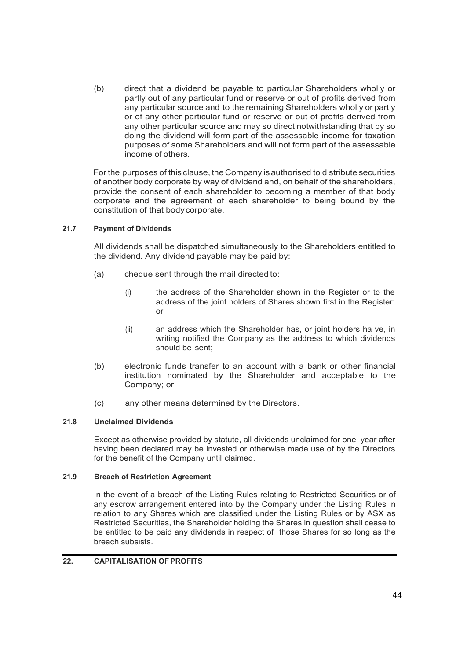(b) direct that a dividend be payable to particular Shareholders wholly or partly out of any particular fund or reserve or out of profits derived from any particular source and to the remaining Shareholders wholly or partly or of any other particular fund or reserve or out of profits derived from any other particular source and may so direct notwithstanding that by so doing the dividend will form part of the assessable income for taxation purposes of some Shareholders and will not form part of the assessable income of others.

For the purposes of this clause, the Company isauthorised to distribute securities of another body corporate by way of dividend and, on behalf of the shareholders, provide the consent of each shareholder to becoming a member of that body corporate and the agreement of each shareholder to being bound by the constitution of that bodycorporate.

# **21.7 Payment of Dividends**

All dividends shall be dispatched simultaneously to the Shareholders entitled to the dividend. Any dividend payable may be paid by:

- (a) cheque sent through the mail directed to:
	- (i) the address of the Shareholder shown in the Register or to the address of the joint holders of Shares shown first in the Register: or
	- (ii) an address which the Shareholder has, or joint holders ha ve, in writing notified the Company as the address to which dividends should be sent;
- (b) electronic funds transfer to an account with a bank or other financial institution nominated by the Shareholder and acceptable to the Company; or
- (c) any other means determined by the Directors.

# **21.8 Unclaimed Dividends**

Except as otherwise provided by statute, all dividends unclaimed for one year after having been declared may be invested or otherwise made use of by the Directors for the benefit of the Company until claimed.

# **21.9 Breach of Restriction Agreement**

In the event of a breach of the Listing Rules relating to Restricted Securities or of any escrow arrangement entered into by the Company under the Listing Rules in relation to any Shares which are classified under the Listing Rules or by ASX as Restricted Securities, the Shareholder holding the Shares in question shall cease to be entitled to be paid any dividends in respect of those Shares for so long as the breach subsists.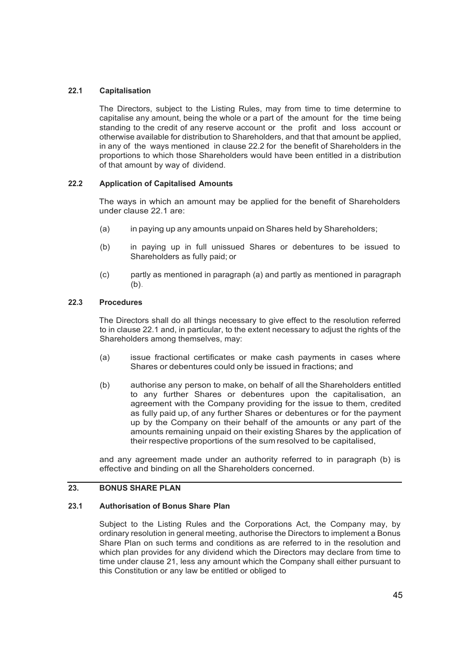# **22.1 Capitalisation**

The Directors, subject to the Listing Rules, may from time to time determine to capitalise any amount, being the whole or a part of the amount for the time being standing to the credit of any reserve account or the profit and loss account or otherwise available for distribution to Shareholders, and that that amount be applied, in any of the ways mentioned in clause 22.2 for the benefit of Shareholders in the proportions to which those Shareholders would have been entitled in a distribution of that amount by way of dividend.

#### **22.2 Application of Capitalised Amounts**

The ways in which an amount may be applied for the benefit of Shareholders under clause 22.1 are:

- (a) in paying up any amounts unpaid on Shares held by Shareholders;
- (b) in paying up in full unissued Shares or debentures to be issued to Shareholders as fully paid; or
- (c) partly as mentioned in paragraph (a) and partly as mentioned in paragraph (b).

#### **22.3 Procedures**

The Directors shall do all things necessary to give effect to the resolution referred to in clause 22.1 and, in particular, to the extent necessary to adjust the rights of the Shareholders among themselves, may:

- (a) issue fractional certificates or make cash payments in cases where Shares or debentures could only be issued in fractions; and
- (b) authorise any person to make, on behalf of all the Shareholders entitled to any further Shares or debentures upon the capitalisation, an agreement with the Company providing for the issue to them, credited as fully paid up, of any further Shares or debentures or for the payment up by the Company on their behalf of the amounts or any part of the amounts remaining unpaid on their existing Shares by the application of their respective proportions of the sum resolved to be capitalised,

and any agreement made under an authority referred to in paragraph (b) is effective and binding on all the Shareholders concerned.

# **23. BONUS SHARE PLAN**

#### **23.1 Authorisation of Bonus Share Plan**

Subject to the Listing Rules and the Corporations Act, the Company may, by ordinary resolution in general meeting, authorise the Directors to implement a Bonus Share Plan on such terms and conditions as are referred to in the resolution and which plan provides for any dividend which the Directors may declare from time to time under clause 21, less any amount which the Company shall either pursuant to this Constitution or any law be entitled or obliged to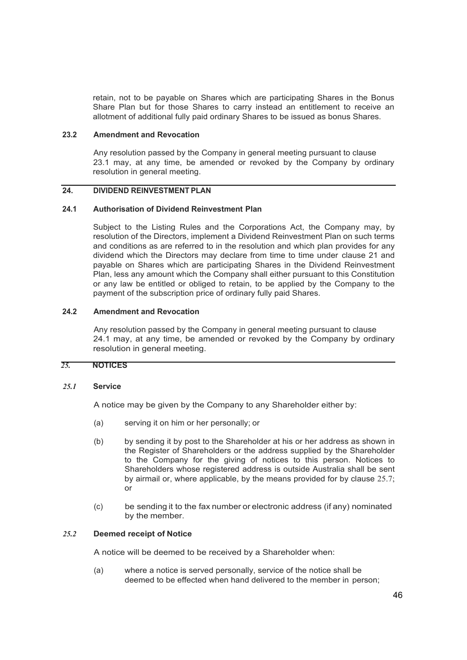retain, not to be payable on Shares which are participating Shares in the Bonus Share Plan but for those Shares to carry instead an entitlement to receive an allotment of additional fully paid ordinary Shares to be issued as bonus Shares.

#### **23.2 Amendment and Revocation**

Any resolution passed by the Company in general meeting pursuant to clause 23.1 may, at any time, be amended or revoked by the Company by ordinary resolution in general meeting.

# **24. DIVIDEND REINVESTMENT PLAN**

#### **24.1 Authorisation of Dividend Reinvestment Plan**

Subject to the Listing Rules and the Corporations Act, the Company may, by resolution of the Directors, implement a Dividend Reinvestment Plan on such terms and conditions as are referred to in the resolution and which plan provides for any dividend which the Directors may declare from time to time under clause 21 and payable on Shares which are participating Shares in the Dividend Reinvestment Plan, less any amount which the Company shall either pursuant to this Constitution or any law be entitled or obliged to retain, to be applied by the Company to the payment of the subscription price of ordinary fully paid Shares.

# **24.2 Amendment and Revocation**

Any resolution passed by the Company in general meeting pursuant to clause 24.1 may, at any time, be amended or revoked by the Company by ordinary resolution in general meeting.

# *25.* **NOTICES**

#### *25.1* **Service**

A notice may be given by the Company to any Shareholder either by:

- (a) serving it on him or her personally; or
- (b) by sending it by post to the Shareholder at his or her address as shown in the Register of Shareholders or the address supplied by the Shareholder to the Company for the giving of notices to this person. Notices to Shareholders whose registered address is outside Australia shall be sent by airmail or, where applicable, by the means provided for by clause 25.7; or
- (c) be sending it to the fax number or electronic address (if any) nominated by the member.

#### *25.2* **Deemed receipt of Notice**

A notice will be deemed to be received by a Shareholder when:

(a) where a notice is served personally, service of the notice shall be deemed to be effected when hand delivered to the member in person;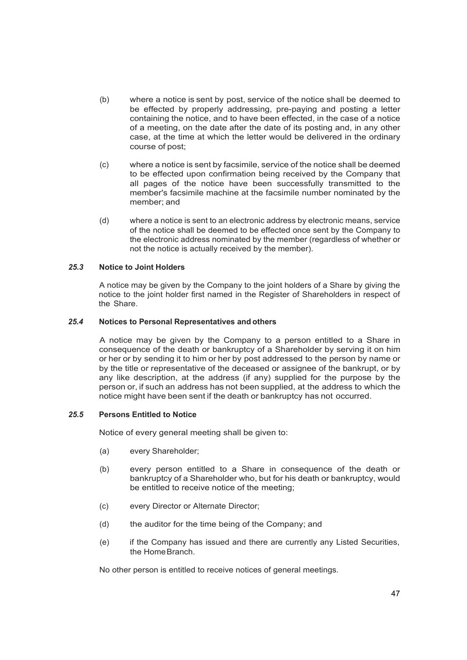- (b) where a notice is sent by post, service of the notice shall be deemed to be effected by properly addressing, pre-paying and posting a letter containing the notice, and to have been effected, in the case of a notice of a meeting, on the date after the date of its posting and, in any other case, at the time at which the letter would be delivered in the ordinary course of post;
- (c) where a notice is sent by facsimile, service of the notice shall be deemed to be effected upon confirmation being received by the Company that all pages of the notice have been successfully transmitted to the member's facsimile machine at the facsimile number nominated by the member; and
- (d) where a notice is sent to an electronic address by electronic means, service of the notice shall be deemed to be effected once sent by the Company to the electronic address nominated by the member (regardless of whether or not the notice is actually received by the member).

#### *25.3* **Notice to Joint Holders**

A notice may be given by the Company to the joint holders of a Share by giving the notice to the joint holder first named in the Register of Shareholders in respect of the Share.

#### *25.4* **Notices to Personal Representatives and others**

A notice may be given by the Company to a person entitled to a Share in consequence of the death or bankruptcy of a Shareholder by serving it on him or her or by sending it to him or her by post addressed to the person by name or by the title or representative of the deceased or assignee of the bankrupt, or by any like description, at the address (if any) supplied for the purpose by the person or, if such an address has not been supplied, at the address to which the notice might have been sent if the death or bankruptcy has not occurred.

# *25.5* **Persons Entitled to Notice**

Notice of every general meeting shall be given to:

- (a) every Shareholder;
- (b) every person entitled to a Share in consequence of the death or bankruptcy of a Shareholder who, but for his death or bankruptcy, would be entitled to receive notice of the meeting;
- (c) every Director or Alternate Director;
- (d) the auditor for the time being of the Company; and
- (e) if the Company has issued and there are currently any Listed Securities, the HomeBranch.

No other person is entitled to receive notices of general meetings.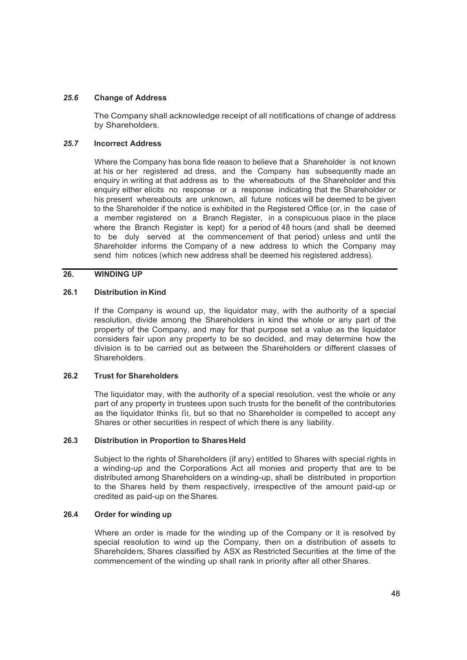#### *25.6* **Change of Address**

The Company shall acknowledge receipt of all notifications of change of address by Shareholders.

#### *25.7* **Incorrect Address**

Where the Company has bona fide reason to believe that a Shareholder is not known at his or her registered ad dress, and the Company has subsequently made an enquiry in writing at that address as to the whereabouts of the Shareholder and this enquiry either elicits no response or a response indicating that the Shareholder or his present whereabouts are unknown, all future notices will be deemed to be given to the Shareholder if the notice is exhibited in the Registered Office (or, in the case of a member registered on a Branch Register, in a conspicuous place in the place where the Branch Register is kept) for a period of 48 hours (and shall be deemed to be duly served at the commencement of that period) unless and until the Shareholder informs the Company of a new address to which the Company may send him notices (which new address shall be deemed his registered address).

# **26. WINDING UP**

### **26.1 Distribution in Kind**

If the Company is wound up, the liquidator may, with the authority of a special resolution, divide among the Shareholders in kind the whole or any part of the property of the Company, and may for that purpose set a value as the liquidator considers fair upon any property to be so decided, and may determine how the division is to be carried out as between the Shareholders or different classes of Shareholders.

#### **26.2 Trust for Shareholders**

The liquidator may, with the authority of a special resolution, vest the whole or any part of any property in trustees upon such trusts for the benefit of the contributories as the liquidator thinks fit, but so that no Shareholder is compelled to accept any Shares or other securities in respect of which there is any liability.

#### **26.3 Distribution in Proportion to Shares Held**

Subject to the rights of Shareholders (if any) entitled to Shares with special rights in a winding-up and the Corporations Act all monies and property that are to be distributed among Shareholders on a winding-up, shall be distributed in proportion to the Shares held by them respectively, irrespective of the amount paid-up or credited as paid-up on theShares.

#### **26.4 Order for winding up**

Where an order is made for the winding up of the Company or it is resolved by special resolution to wind up the Company, then on a distribution of assets to Shareholders, Shares classified by ASX as Restricted Securities at the time of the commencement of the winding up shall rank in priority after all other Shares.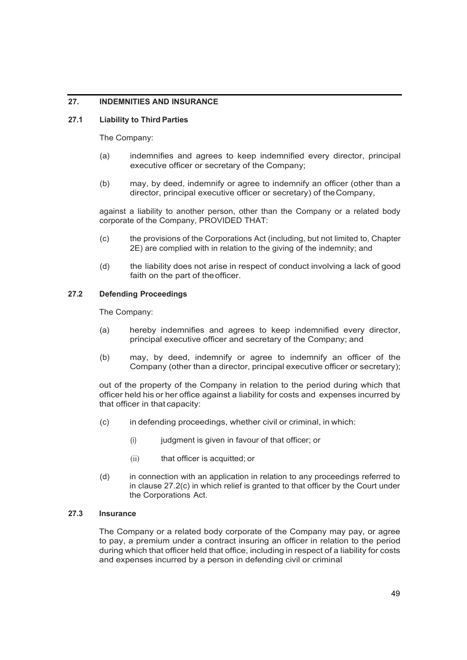# **27. INDEMNITIES AND INSURANCE**

# **27.1 Liability to Third Parties**

The Company:

- (a) indemnifies and agrees to keep indemnified every director, principal executive officer or secretary of the Company;
- (b) may, by deed, indemnify or agree to indemnify an officer (other than a director, principal executive officer or secretary) of theCompany,

against a liability to another person, other than the Company or a related body corporate of the Company, PROVIDED THAT:

- (c) the provisions of the Corporations Act (including, but not limited to, Chapter 2E) are complied with in relation to the giving of the indemnity; and
- (d) the liability does not arise in respect of conduct involving a lack of good faith on the part of theofficer.

# **27.2 Defending Proceedings**

The Company:

- (a) hereby indemnifies and agrees to keep indemnified every director, principal executive officer and secretary of the Company; and
- (b) may, by deed, indemnify or agree to indemnify an officer of the Company (other than a director, principal executive officer or secretary);

out of the property of the Company in relation to the period during which that officer held his or her office against a liability for costs and expenses incurred by that officer in that capacity:

- (c) in defending proceedings, whether civil or criminal, in which:
	- (i) judgment is given in favour of that officer; or
	- (ii) that officer is acquitted; or
- (d) in connection with an application in relation to any proceedings referred to in clause 27.2(c) in which relief is granted to that officer by the Court under the Corporations Act.

#### **27.3 Insurance**

The Company or a related body corporate of the Company may pay, or agree to pay, a premium under a contract insuring an officer in relation to the period during which that officer held that office, including in respect of a liability for costs and expenses incurred by a person in defending civil or criminal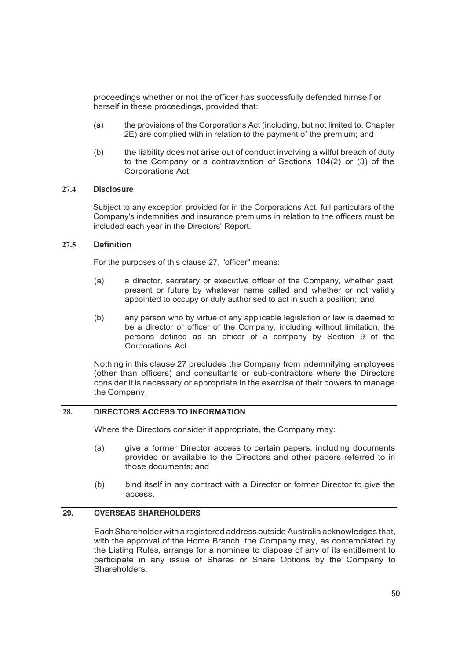proceedings whether or not the officer has successfully defended himself or herself in these proceedings, provided that:

- (a) the provisions of the Corporations Act (including, but not limited to, Chapter 2E) are complied with in relation to the payment of the premium; and
- (b) the liability does not arise out of conduct involving a wilful breach of duty to the Company or a contravention of Sections 184(2) or (3) of the Corporations Act.

#### **27.4 Disclosure**

Subject to any exception provided for in the Corporations Act, full particulars of the Company's indemnities and insurance premiums in relation to the officers must be included each year in the Directors' Report.

#### **27.5 Definition**

For the purposes of this clause 27, "officer" means:

- (a) a director, secretary or executive officer of the Company, whether past, present or future by whatever name called and whether or not validly appointed to occupy or duly authorised to act in such a position; and
- (b) any person who by virtue of any applicable legislation or law is deemed to be a director or officer of the Company, including without limitation, the persons defined as an officer of a company by Section 9 of the Corporations Act.

Nothing in this clause 27 precludes the Company from indemnifying employees (other than officers) and consultants or sub-contractors where the Directors consider it is necessary or appropriate in the exercise of their powers to manage the Company.

# **28. DIRECTORS ACCESS TO INFORMATION**

Where the Directors consider it appropriate, the Company may:

- (a) give a former Director access to certain papers, including documents provided or available to the Directors and other papers referred to in those documents; and
- (b) bind itself in any contract with a Director or former Director to give the access.

# **29. OVERSEAS SHAREHOLDERS**

EachShareholder with a registered address outside Australia acknowledges that, with the approval of the Home Branch, the Company may, as contemplated by the Listing Rules, arrange for a nominee to dispose of any of its entitlement to participate in any issue of Shares or Share Options by the Company to Shareholders.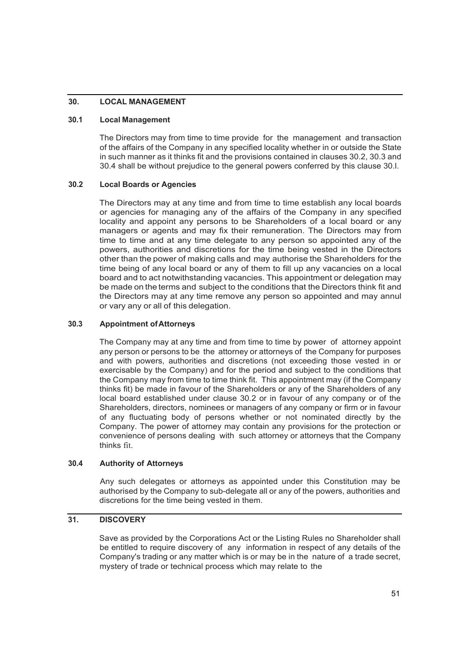# **30. LOCAL MANAGEMENT**

# **30.1 Local Management**

The Directors may from time to time provide for the management and transaction of the affairs of the Company in any specified locality whether in or outside the State in such manner as it thinks fit and the provisions contained in clauses 30.2, 30.3 and 30.4 shall be without prejudice to the general powers conferred by this clause 30.l.

# **30.2 Local Boards or Agencies**

The Directors may at any time and from time to time establish any local boards or agencies for managing any of the affairs of the Company in any specified locality and appoint any persons to be Shareholders of a local board or any managers or agents and may fix their remuneration. The Directors may from time to time and at any time delegate to any person so appointed any of the powers, authorities and discretions for the time being vested in the Directors other than the power of making calls and may authorise the Shareholders for the time being of any local board or any of them to fill up any vacancies on a local board and to act notwithstanding vacancies. This appointment or delegation may be made on the terms and subject to the conditions that the Directors think fit and the Directors may at any time remove any person so appointed and may annul or vary any or all of this delegation.

#### **30.3 Appointment ofAttorneys**

The Company may at any time and from time to time by power of attorney appoint any person or persons to be the attorney or attorneys of the Company for purposes and with powers, authorities and discretions (not exceeding those vested in or exercisable by the Company) and for the period and subject to the conditions that the Company may from time to time think fit. This appointment may (if the Company thinks fit) be made in favour of the Shareholders or any of the Shareholders of any local board established under clause 30.2 or in favour of any company or of the Shareholders, directors, nominees or managers of any company or firm or in favour of any fluctuating body of persons whether or not nominated directly by the Company. The power of attorney may contain any provisions for the protection or convenience of persons dealing with such attorney or attorneys that the Company thinks fit.

#### **30.4 Authority of Attorneys**

Any such delegates or attorneys as appointed under this Constitution may be authorised by the Company to sub-delegate all or any of the powers, authorities and discretions for the time being vested in them.

# **31. DISCOVERY**

Save as provided by the Corporations Act or the Listing Rules no Shareholder shall be entitled to require discovery of any information in respect of any details of the Company's trading or any matter which is or may be in the nature of a trade secret, mystery of trade or technical process which may relate to the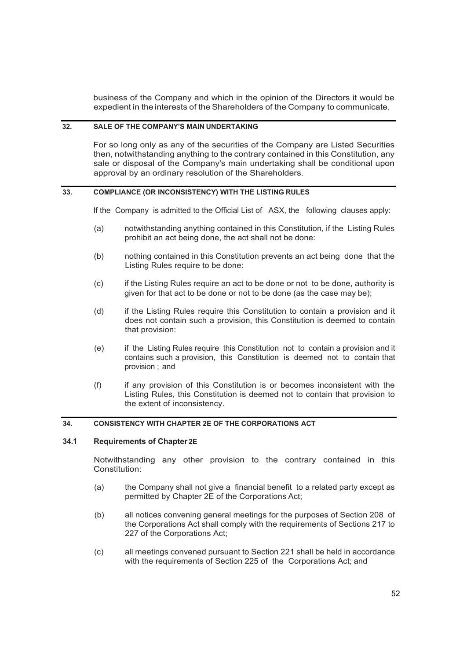business of the Company and which in the opinion of the Directors it would be expedient in the interests of the Shareholders of the Company to communicate.

### **32. SALE OF THE COMPANY'S MAIN UNDERTAKING**

For so long only as any of the securities of the Company are Listed Securities then, notwithstanding anything to the contrary contained in this Constitution, any sale or disposal of the Company's main undertaking shall be conditional upon approval by an ordinary resolution of the Shareholders.

#### **33. COMPLIANCE (OR INCONSISTENCY) WITH THE LISTING RULES**

If the Company is admitted to the Official List of ASX, the following clauses apply:

- (a) notwithstanding anything contained in this Constitution, if the Listing Rules prohibit an act being done, the act shall not be done:
- (b) nothing contained in this Constitution prevents an act being done that the Listing Rules require to be done:
- (c) if the Listing Rules require an act to be done or not to be done, authority is given for that act to be done or not to be done (as the case may be);
- (d) if the Listing Rules require this Constitution to contain a provision and it does not contain such a provision, this Constitution is deemed to contain that provision:
- (e) if the Listing Rules require this Constitution not to contain a provision and it contains such a provision, this Constitution is deemed not to contain that provision ; and
- (f) if any provision of this Constitution is or becomes inconsistent with the Listing Rules, this Constitution is deemed not to contain that provision to the extent of inconsistency.

# **34. CONSISTENCY WITH CHAPTER 2E OF THE CORPORATIONS ACT**

# **34.1 Requirements of Chapter 2E**

Notwithstanding any other provision to the contrary contained in this Constitution:

- (a) the Company shall not give a financial benefit to a related party except as permitted by Chapter 2E of the Corporations Act;
- (b) all notices convening general meetings for the purposes of Section 208 of the Corporations Act shall comply with the requirements of Sections 217 to 227 of the Corporations Act;
- (c) all meetings convened pursuant to Section 221 shall be held in accordance with the requirements of Section 225 of the Corporations Act; and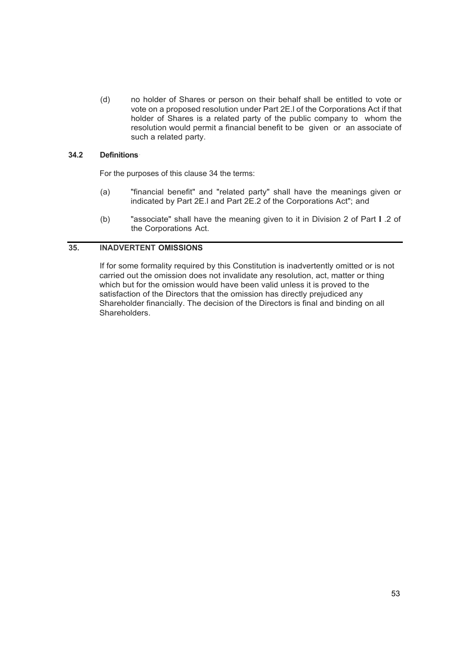(d) no holder of Shares or person on their behalf shall be entitled to vote or vote on a proposed resolution under Part 2E.l of the Corporations Act if that holder of Shares is a related party of the public company to whom the resolution would permit a financial benefit to be given or an associate of such a related party.

#### **34.2 Definitions**·

For the purposes of this clause 34 the terms:

- (a) "financial benefit" and "related party" shall have the meanings given or indicated by Part 2E.l and Part 2E.2 of the Corporations Act"; and
- (b) "associate" shall have the meaning given to it in Division 2 of Part **l** .2 of the Corporations Act.

# **35. INADVERTENT OMISSIONS**

If for some formality required by this Constitution is inadvertently omitted or is not carried out the omission does not invalidate any resolution, act, matter or thing which but for the omission would have been valid unless it is proved to the satisfaction of the Directors that the omission has directly prejudiced any Shareholder financially. The decision of the Directors is final and binding on all Shareholders.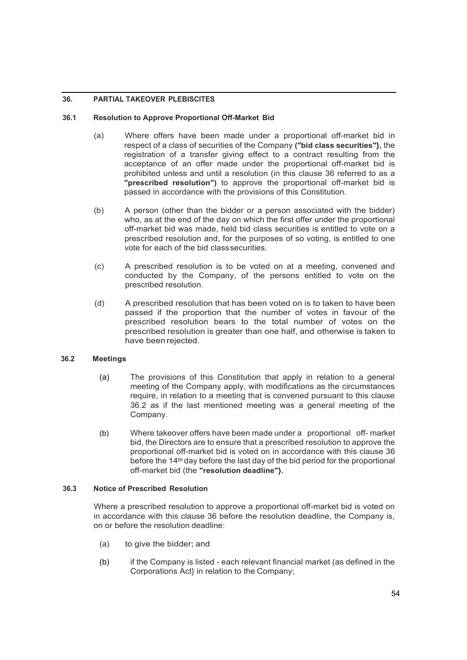# **36. PARTIAL TAKEOVER PLEBISCITES**

# **36.1 Resolution to Approve Proportional Off-Market Bid**

- (a) Where offers have been made under a proportional off-market bid in respect of a class of securities of the Company **("bid class securities"},** the registration of a transfer giving effect to a contract resulting from the acceptance of an offer made under the proportional off-market bid is prohibited unless and until a resolution (in this clause 36 referred to as a **"prescribed resolution")** to approve the proportional off-market bid is passed in accordance with the provisions of this Constitution.
- (b) A person (other than the bidder or a person associated with the bidder) who, as at the end of the day on which the first offer under the proportional off-market bid was made, held bid class securities is entitled to vote on a prescribed resolution and, for the purposes of so voting, is entitled to one vote for each of the bid classsecurities.
- (c) A prescribed resolution is to be voted on at a meeting, convened and conducted by the Company, of the persons entitled to vote on the prescribed resolution.
- (d) A prescribed resolution that has been voted on is to taken to have been passed if the proportion that the number of votes in favour of the prescribed resolution bears to the total number of votes on the prescribed resolution is greater than one half, and otherwise is taken to have been rejected.

# **36.2 Meetings**

- (a) The provisions of this Constitution that apply in relation to a general meeting of the Company apply, with modifications as the circumstances require, in relation to a meeting that is convened pursuant to this clause 36.2 as if the last mentioned meeting was a general meeting of the Company.
- (b) Where takeover offers have been made under a proportional off- market bid, the Directors are to ensure that a prescribed resolution to approve the proportional off-market bid is voted on in accordance with this clause 36 before the 14th day before the last day of the bid period for the proportional off-market bid (the **"resolution deadline"}.**

# **36.3 Notice of Prescribed Resolution**

Where a prescribed resolution to approve a proportional off-market bid is voted on in accordance with this clause 36 before the resolution deadline, the Company is, on or before the resolution deadline:

- (a) to give the bidder; and
- (b) if the Company is listed each relevant financial market (as defined in the Corporations Act} in relation to the Company;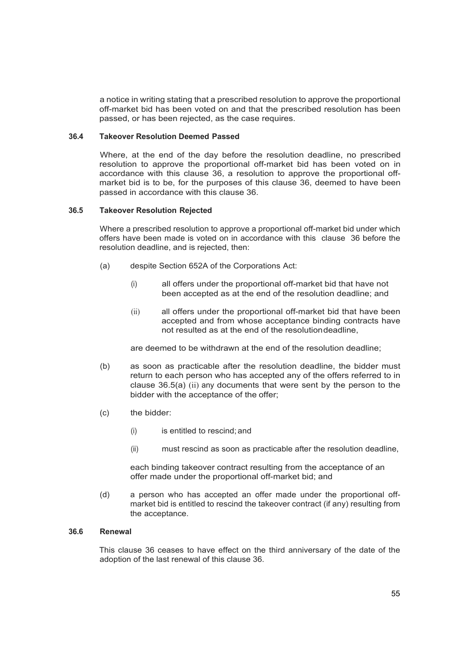a notice in writing stating that a prescribed resolution to approve the proportional off-market bid has been voted on and that the prescribed resolution has been passed, or has been rejected, as the case requires.

#### **36.4 Takeover Resolution Deemed Passed**

Where, at the end of the day before the resolution deadline, no prescribed resolution to approve the proportional off-market bid has been voted on in accordance with this clause 36, a resolution to approve the proportional offmarket bid is to be, for the purposes of this clause 36, deemed to have been passed in accordance with this clause 36.

#### **36.5 Takeover Resolution Rejected**

Where a prescribed resolution to approve a proportional off-market bid under which offers have been made is voted on in accordance with this clause 36 before the resolution deadline, and is rejected, then:

- (a) despite Section 652A of the Corporations Act:
	- (i) all offers under the proportional off-market bid that have not been accepted as at the end of the resolution deadline; and
	- (ii) all offers under the proportional off-market bid that have been accepted and from whose acceptance binding contracts have not resulted as at the end of the resolutiondeadline,

are deemed to be withdrawn at the end of the resolution deadline;

- (b) as soon as practicable after the resolution deadline, the bidder must return to each person who has accepted any of the offers referred to in clause 36.5(a) (ii) any documents that were sent by the person to the bidder with the acceptance of the offer;
- (c) the bidder:
	- (i) is entitled to rescind; and
	- (ii) must rescind as soon as practicable after the resolution deadline,

each binding takeover contract resulting from the acceptance of an offer made under the proportional off-market bid; and

(d) a person who has accepted an offer made under the proportional offmarket bid is entitled to rescind the takeover contract (if any) resulting from the acceptance.

# **36.6 Renewal**

This clause 36 ceases to have effect on the third anniversary of the date of the adoption of the last renewal of this clause 36.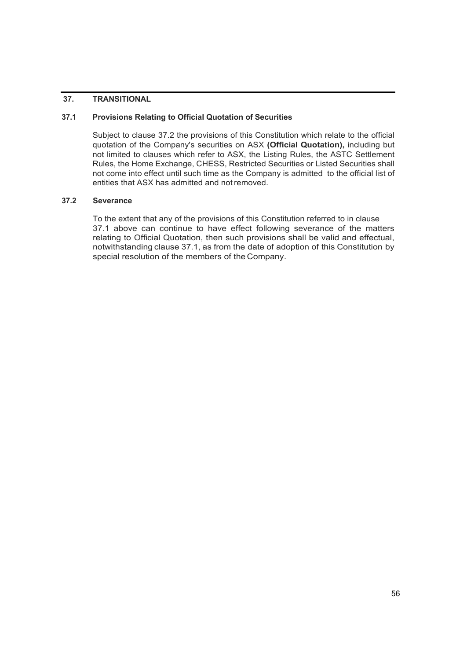# **37. TRANSITIONAL**

# **37.1 Provisions Relating to Official Quotation of Securities**

Subject to clause 37.2 the provisions of this Constitution which relate to the official quotation of the Company's securities on ASX **(Official Quotation),** including but not limited to clauses which refer to ASX, the Listing Rules, the ASTC Settlement Rules, the Home Exchange, CHESS, Restricted Securities or Listed Securities shall not come into effect until such time as the Company is admitted to the official list of entities that ASX has admitted and not removed.

#### **37.2 Severance**

To the extent that any of the provisions of this Constitution referred to in clause 37.1 above can continue to have effect following severance of the matters relating to Official Quotation, then such provisions shall be valid and effectual, notwithstanding clause 37.1, as from the date of adoption of this Constitution by special resolution of the members of the Company.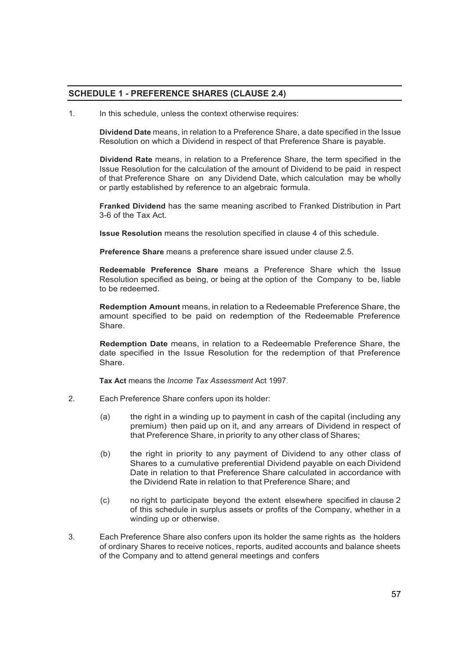# **SCHEDULE 1 - PREFERENCE SHARES (CLAUSE 2.4)**

1. In this schedule, unless the context otherwise requires:

**Dividend Date** means, in relation to a Preference Share, a date specified in the Issue Resolution on which a Dividend in respect of that Preference Share is payable.

**Dividend Rate** means, in relation to a Preference Share, the term specified in the Issue Resolution for the calculation of the amount of Dividend to be paid in respect of that Preference Share on any Dividend Date, which calculation may be wholly or partly established by reference to an algebraic formula.

**Franked Dividend** has the same meaning ascribed to Franked Distribution in Part 3-6 of the Tax Act.

**Issue Resolution** means the resolution specified in clause 4 of this schedule.

**Preference Share** means a preference share issued under clause 2.5.

**Redeemable Preference Share** means a Preference Share which the Issue Resolution specified as being, or being at the option of the Company to be, liable to be redeemed.

**Redemption Amount** means, in relation to a Redeemable Preference Share, the amount specified to be paid on redemption of the Redeemable Preference Share.

**Redemption Date** means, in relation to a Redeemable Preference Share, the date specified in the Issue Resolution for the redemption of that Preference Share.

**Tax Act** means the *Income Tax Assessment* Act 1997.

- 2. Each Preference Share confers upon its holder:
	- (a) the right in a winding up to payment in cash of the capital (including any premium) then paid up on it, and any arrears of Dividend in respect of that Preference Share, in priority to any other class of Shares;
	- (b) the right in priority to any payment of Dividend to any other class of Shares to a cumulative preferential Dividend payable on each Dividend Date in relation to that Preference Share calculated in accordance with the Dividend Rate in relation to that Preference Share; and
	- (c) no right to participate beyond the extent elsewhere specified in clause 2 of this schedule in surplus assets or profits of the Company, whether in a winding up or otherwise.
- 3. Each Preference Share also confers upon its holder the same rights as the holders of ordinary Shares to receive notices, reports, audited accounts and balance sheets of the Company and to attend general meetings and confers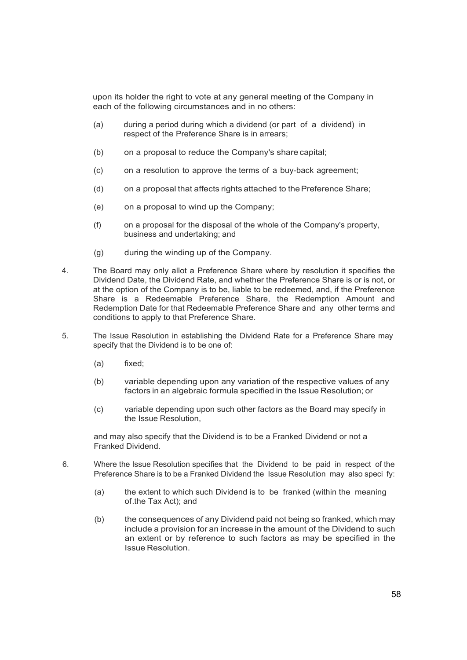upon its holder the right to vote at any general meeting of the Company in each of the following circumstances and in no others:

- (a) during a period during which a dividend (or part of a dividend) in respect of the Preference Share is in arrears;
- (b) on a proposal to reduce the Company's share capital;
- (c) on a resolution to approve the terms of a buy-back agreement;
- (d) on a proposal that affects rights attached to thePreference Share;
- (e) on a proposal to wind up the Company;
- (f) on a proposal for the disposal of the whole of the Company's property, business and undertaking; and
- (g) during the winding up of the Company.
- 4. The Board may only allot a Preference Share where by resolution it specifies the Dividend Date, the Dividend Rate, and whether the Preference Share is or is not, or at the option of the Company is to be, liable to be redeemed, and, if the Preference Share is a Redeemable Preference Share, the Redemption Amount and Redemption Date for that Redeemable Preference Share and any other terms and conditions to apply to that Preference Share.
- 5. The Issue Resolution in establishing the Dividend Rate for a Preference Share may specify that the Dividend is to be one of:
	- (a) fixed;
	- (b) variable depending upon any variation of the respective values of any factors in an algebraic formula specified in the Issue Resolution; or
	- (c) variable depending upon such other factors as the Board may specify in the Issue Resolution,

and may also specify that the Dividend is to be a Franked Dividend or not a Franked Dividend.

- 6. Where the Issue Resolution specifies that the Dividend to be paid in respect of the Preference Share is to be a Franked Dividend the Issue Resolution may also speci fy:
	- (a) the extent to which such Dividend is to be franked (within the meaning of.the Tax Act); and
	- (b) the consequences of any Dividend paid not being so franked, which may include a provision for an increase in the amount of the Dividend to such an extent or by reference to such factors as may be specified in the Issue Resolution.